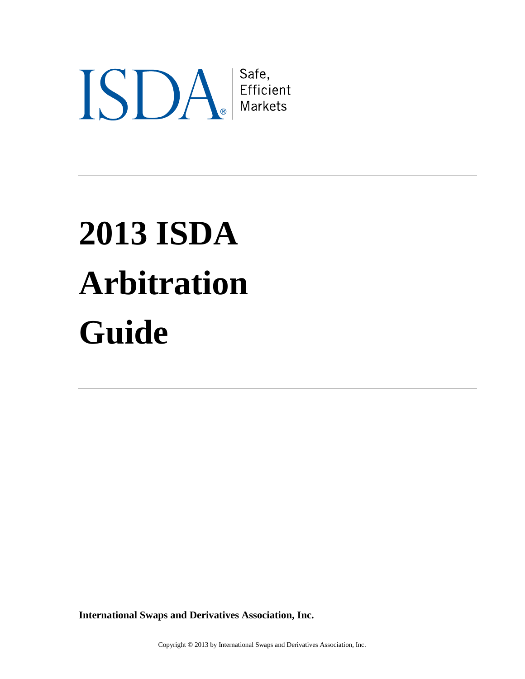

# **2013 ISDA Arbitration Guide**

**International Swaps and Derivatives Association, Inc.**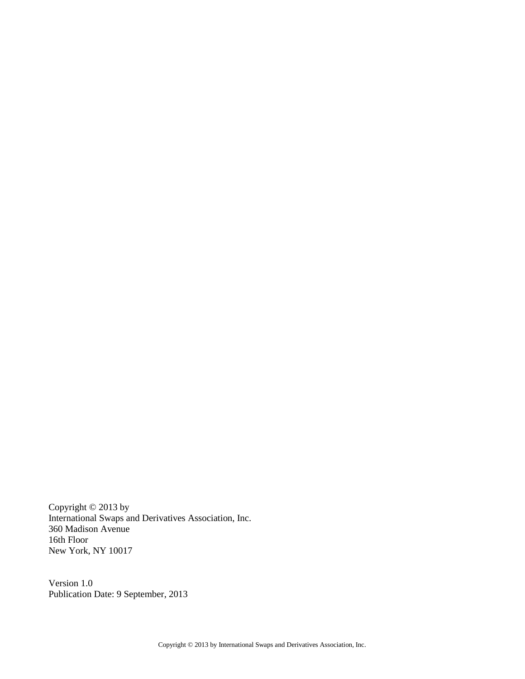Copyright © 2013 by International Swaps and Derivatives Association, Inc. 360 Madison Avenue 16th Floor New York, NY 10017

Version 1.0 Publication Date: 9 September, 2013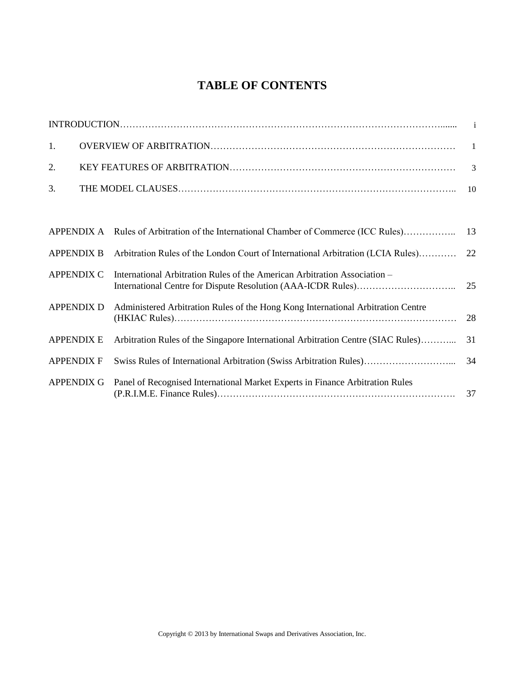# **TABLE OF CONTENTS**

| 1.                |                                                                                      |    |
|-------------------|--------------------------------------------------------------------------------------|----|
| 2.                |                                                                                      |    |
| 3.                |                                                                                      | 10 |
|                   |                                                                                      |    |
|                   | APPENDIX A Rules of Arbitration of the International Chamber of Commerce (ICC Rules) | 13 |
| <b>APPENDIX B</b> | Arbitration Rules of the London Court of International Arbitration (LCIA Rules)      | 22 |
| <b>APPENDIX C</b> | International Arbitration Rules of the American Arbitration Association –            | 25 |
| <b>APPENDIX D</b> | Administered Arbitration Rules of the Hong Kong International Arbitration Centre     | 28 |
| <b>APPENDIX E</b> | Arbitration Rules of the Singapore International Arbitration Centre (SIAC Rules)     | 31 |
| <b>APPENDIX F</b> | Swiss Rules of International Arbitration (Swiss Arbitration Rules)                   | 34 |
| <b>APPENDIX G</b> | Panel of Recognised International Market Experts in Finance Arbitration Rules        | 37 |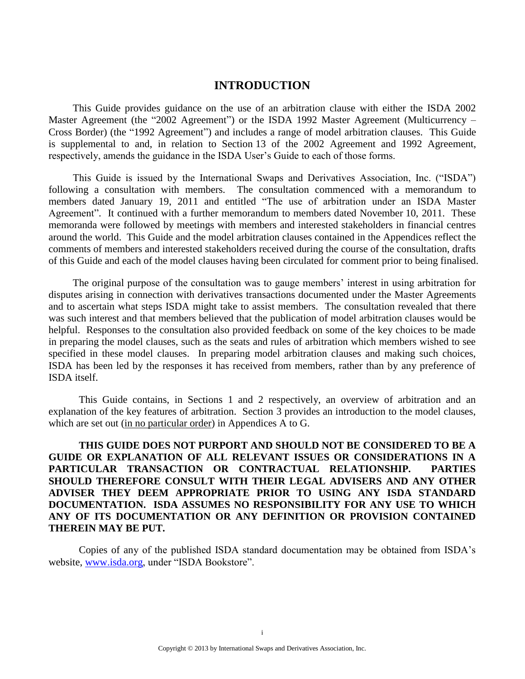## **INTRODUCTION**

This Guide provides guidance on the use of an arbitration clause with either the ISDA 2002 Master Agreement (the "2002 Agreement") or the ISDA 1992 Master Agreement (Multicurrency – Cross Border) (the "1992 Agreement") and includes a range of model arbitration clauses. This Guide is supplemental to and, in relation to Section 13 of the 2002 Agreement and 1992 Agreement, respectively, amends the guidance in the ISDA User's Guide to each of those forms.

This Guide is issued by the International Swaps and Derivatives Association, Inc. ("ISDA") following a consultation with members. The consultation commenced with a memorandum to members dated January 19, 2011 and entitled "The use of arbitration under an ISDA Master Agreement". It continued with a further memorandum to members dated November 10, 2011. These memoranda were followed by meetings with members and interested stakeholders in financial centres around the world. This Guide and the model arbitration clauses contained in the Appendices reflect the comments of members and interested stakeholders received during the course of the consultation, drafts of this Guide and each of the model clauses having been circulated for comment prior to being finalised.

The original purpose of the consultation was to gauge members' interest in using arbitration for disputes arising in connection with derivatives transactions documented under the Master Agreements and to ascertain what steps ISDA might take to assist members. The consultation revealed that there was such interest and that members believed that the publication of model arbitration clauses would be helpful. Responses to the consultation also provided feedback on some of the key choices to be made in preparing the model clauses, such as the seats and rules of arbitration which members wished to see specified in these model clauses. In preparing model arbitration clauses and making such choices, ISDA has been led by the responses it has received from members, rather than by any preference of ISDA itself.

This Guide contains, in Sections [1](#page-5-0) and [2](#page-7-0) respectively, an overview of arbitration and an explanation of the key features of arbitration. Section [3](#page-14-0) provides an introduction to the model clauses, which are set out (in no particular order) in Appendices A to G.

**THIS GUIDE DOES NOT PURPORT AND SHOULD NOT BE CONSIDERED TO BE A GUIDE OR EXPLANATION OF ALL RELEVANT ISSUES OR CONSIDERATIONS IN A PARTICULAR TRANSACTION OR CONTRACTUAL RELATIONSHIP. PARTIES SHOULD THEREFORE CONSULT WITH THEIR LEGAL ADVISERS AND ANY OTHER ADVISER THEY DEEM APPROPRIATE PRIOR TO USING ANY ISDA STANDARD DOCUMENTATION. ISDA ASSUMES NO RESPONSIBILITY FOR ANY USE TO WHICH ANY OF ITS DOCUMENTATION OR ANY DEFINITION OR PROVISION CONTAINED THEREIN MAY BE PUT.**

Copies of any of the published ISDA standard documentation may be obtained from ISDA's website, [www.isda.org,](http://www.isda.org/) under "ISDA Bookstore".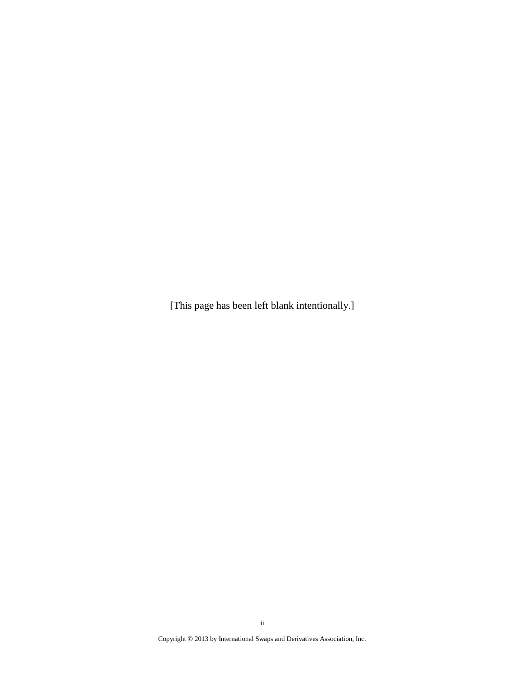[This page has been left blank intentionally.]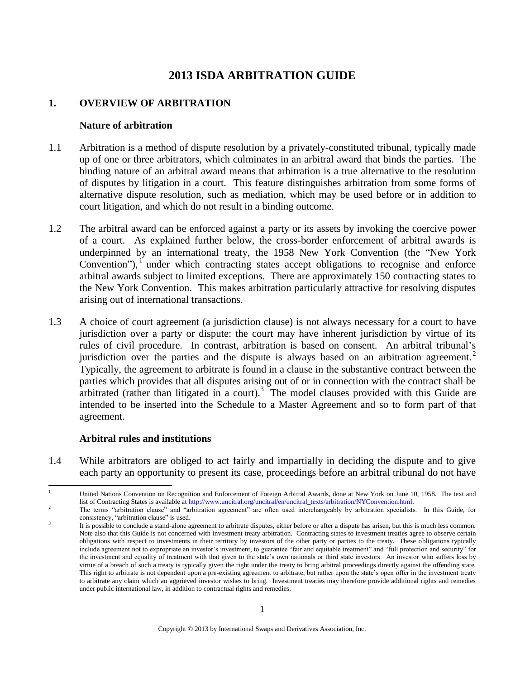## **2013 ISDA ARBITRATION GUIDE**

## <span id="page-5-0"></span>**1. OVERVIEW OF ARBITRATION**

## **Nature of arbitration**

- 1.1 Arbitration is a method of dispute resolution by a privately-constituted tribunal, typically made up of one or three arbitrators, which culminates in an arbitral award that binds the parties. The binding nature of an arbitral award means that arbitration is a true alternative to the resolution of disputes by litigation in a court. This feature distinguishes arbitration from some forms of alternative dispute resolution, such as mediation, which may be used before or in addition to court litigation, and which do not result in a binding outcome.
- 1.2 The arbitral award can be enforced against a party or its assets by invoking the coercive power of a court. As explained further below, the cross-border enforcement of arbitral awards is underpinned by an international treaty, the 1958 New York Convention (the "New York Convention"), $1$  under which contracting states accept obligations to recognise and enforce arbitral awards subject to limited exceptions. There are approximately 150 contracting states to the New York Convention. This makes arbitration particularly attractive for resolving disputes arising out of international transactions.
- 1.3 A choice of court agreement (a jurisdiction clause) is not always necessary for a court to have jurisdiction over a party or dispute: the court may have inherent jurisdiction by virtue of its rules of civil procedure. In contrast, arbitration is based on consent. An arbitral tribunal's jurisdiction over the parties and the dispute is always based on an arbitration agreement.<sup>2</sup> Typically, the agreement to arbitrate is found in a clause in the substantive contract between the parties which provides that all disputes arising out of or in connection with the contract shall be arbitrated (rather than litigated in a court).<sup>3</sup> The model clauses provided with this Guide are intended to be inserted into the Schedule to a Master Agreement and so to form part of that agreement.

## **Arbitral rules and institutions**

1.4 While arbitrators are obliged to act fairly and impartially in deciding the dispute and to give each party an opportunity to present its case, proceedings before an arbitral tribunal do not have

 $\mathbf{1}$ <sup>1</sup> United Nations Convention on Recognition and Enforcement of Foreign Arbitral Awards, done at New York on June 10, 1958. The text and list of Contracting States is available at [http://www.uncitral.org/uncitral/en/uncitral\\_texts/arbitration/NYConvention.html.](http://www.uncitral.org/uncitral/en/uncitral_texts/arbitration/NYConvention.html)

<sup>&</sup>lt;sup>2</sup> The terms "arbitration clause" and "arbitration agreement" are often used interchangeably by arbitration specialists. In this Guide, for consistency, "arbitration clause" is used. 3

It is possible to conclude a stand-alone agreement to arbitrate disputes, either before or after a dispute has arisen, but this is much less common. Note also that this Guide is not concerned with investment treaty arbitration. Contracting states to investment treaties agree to observe certain obligations with respect to investments in their territory by investors of the other party or parties to the treaty. These obligations typically include agreement not to expropriate an investor's investment, to guarantee "fair and equitable treatment" and "full protection and security" for the investment and equality of treatment with that given to the state's own nationals or third state investors. An investor who suffers loss by virtue of a breach of such a treaty is typically given the right under the treaty to bring arbitral proceedings directly against the offending state. This right to arbitrate is not dependent upon a pre-existing agreement to arbitrate, but rather upon the state's open offer in the investment treaty to arbitrate any claim which an aggrieved investor wishes to bring. Investment treaties may therefore provide additional rights and remedies under public international law, in addition to contractual rights and remedies.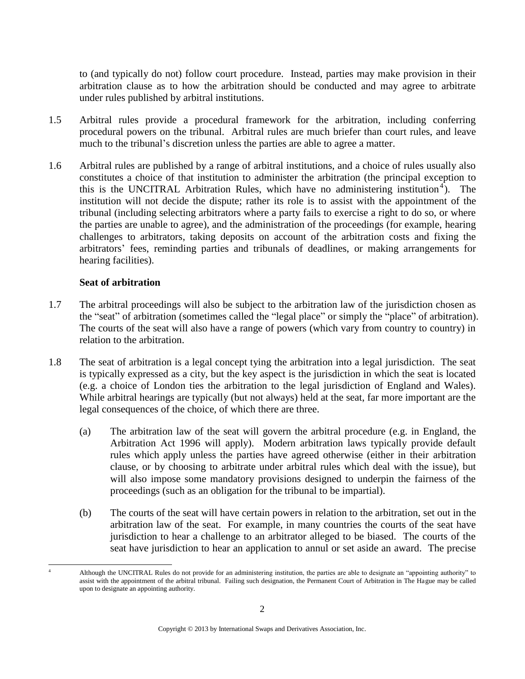to (and typically do not) follow court procedure. Instead, parties may make provision in their arbitration clause as to how the arbitration should be conducted and may agree to arbitrate under rules published by arbitral institutions.

- 1.5 Arbitral rules provide a procedural framework for the arbitration, including conferring procedural powers on the tribunal. Arbitral rules are much briefer than court rules, and leave much to the tribunal's discretion unless the parties are able to agree a matter.
- 1.6 Arbitral rules are published by a range of arbitral institutions, and a choice of rules usually also constitutes a choice of that institution to administer the arbitration (the principal exception to this is the UNCITRAL Arbitration Rules, which have no administering institution<sup>4</sup>). The institution will not decide the dispute; rather its role is to assist with the appointment of the tribunal (including selecting arbitrators where a party fails to exercise a right to do so, or where the parties are unable to agree), and the administration of the proceedings (for example, hearing challenges to arbitrators, taking deposits on account of the arbitration costs and fixing the arbitrators' fees, reminding parties and tribunals of deadlines, or making arrangements for hearing facilities).

#### **Seat of arbitration**

- 1.7 The arbitral proceedings will also be subject to the arbitration law of the jurisdiction chosen as the "seat" of arbitration (sometimes called the "legal place" or simply the "place" of arbitration). The courts of the seat will also have a range of powers (which vary from country to country) in relation to the arbitration.
- 1.8 The seat of arbitration is a legal concept tying the arbitration into a legal jurisdiction. The seat is typically expressed as a city, but the key aspect is the jurisdiction in which the seat is located (e.g. a choice of London ties the arbitration to the legal jurisdiction of England and Wales). While arbitral hearings are typically (but not always) held at the seat, far more important are the legal consequences of the choice, of which there are three.
	- (a) The arbitration law of the seat will govern the arbitral procedure (e.g. in England, the Arbitration Act 1996 will apply). Modern arbitration laws typically provide default rules which apply unless the parties have agreed otherwise (either in their arbitration clause, or by choosing to arbitrate under arbitral rules which deal with the issue), but will also impose some mandatory provisions designed to underpin the fairness of the proceedings (such as an obligation for the tribunal to be impartial).
	- (b) The courts of the seat will have certain powers in relation to the arbitration, set out in the arbitration law of the seat. For example, in many countries the courts of the seat have jurisdiction to hear a challenge to an arbitrator alleged to be biased. The courts of the seat have jurisdiction to hear an application to annul or set aside an award. The precise

l <sup>4</sup> Although the UNCITRAL Rules do not provide for an administering institution, the parties are able to designate an "appointing authority" to assist with the appointment of the arbitral tribunal. Failing such designation, the Permanent Court of Arbitration in The Hague may be called upon to designate an appointing authority.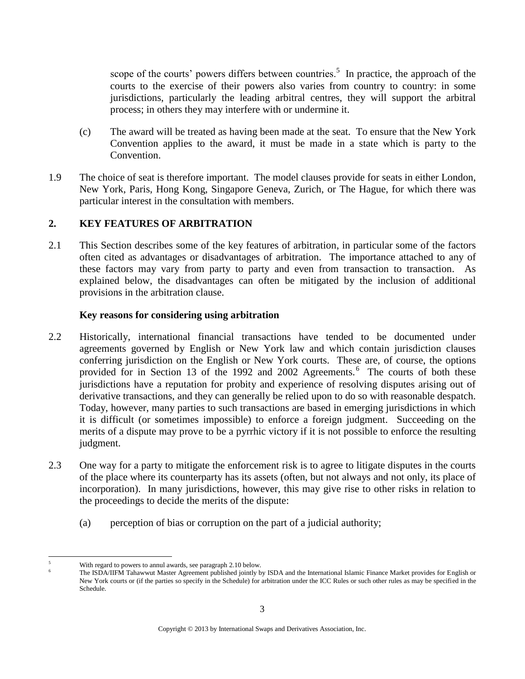scope of the courts' powers differs between countries.<sup>5</sup> In practice, the approach of the courts to the exercise of their powers also varies from country to country: in some jurisdictions, particularly the leading arbitral centres, they will support the arbitral process; in others they may interfere with or undermine it.

- (c) The award will be treated as having been made at the seat. To ensure that the New York Convention applies to the award, it must be made in a state which is party to the Convention.
- 1.9 The choice of seat is therefore important. The model clauses provide for seats in either London, New York, Paris, Hong Kong, Singapore Geneva, Zurich, or The Hague, for which there was particular interest in the consultation with members.

## <span id="page-7-0"></span>**2. KEY FEATURES OF ARBITRATION**

2.1 This Section describes some of the key features of arbitration, in particular some of the factors often cited as advantages or disadvantages of arbitration. The importance attached to any of these factors may vary from party to party and even from transaction to transaction. As explained below, the disadvantages can often be mitigated by the inclusion of additional provisions in the arbitration clause.

#### **Key reasons for considering using arbitration**

- 2.2 Historically, international financial transactions have tended to be documented under agreements governed by English or New York law and which contain jurisdiction clauses conferring jurisdiction on the English or New York courts. These are, of course, the options provided for in Section 13 of the 1992 and 2002 Agreements.<sup>6</sup> The courts of both these jurisdictions have a reputation for probity and experience of resolving disputes arising out of derivative transactions, and they can generally be relied upon to do so with reasonable despatch. Today, however, many parties to such transactions are based in emerging jurisdictions in which it is difficult (or sometimes impossible) to enforce a foreign judgment. Succeeding on the merits of a dispute may prove to be a pyrrhic victory if it is not possible to enforce the resulting judgment.
- 2.3 One way for a party to mitigate the enforcement risk is to agree to litigate disputes in the courts of the place where its counterparty has its assets (often, but not always and not only, its place of incorporation). In many jurisdictions, however, this may give rise to other risks in relation to the proceedings to decide the merits of the dispute:
	- (a) perception of bias or corruption on the part of a judicial authority;

l With regard to powers to annul awards, see paragrap[h 2.10](#page-9-0) below.

<sup>6</sup> The ISDA/IIFM Tahawwut Master Agreement published jointly by ISDA and the International Islamic Finance Market provides for English or New York courts or (if the parties so specify in the Schedule) for arbitration under the ICC Rules or such other rules as may be specified in the Schedule.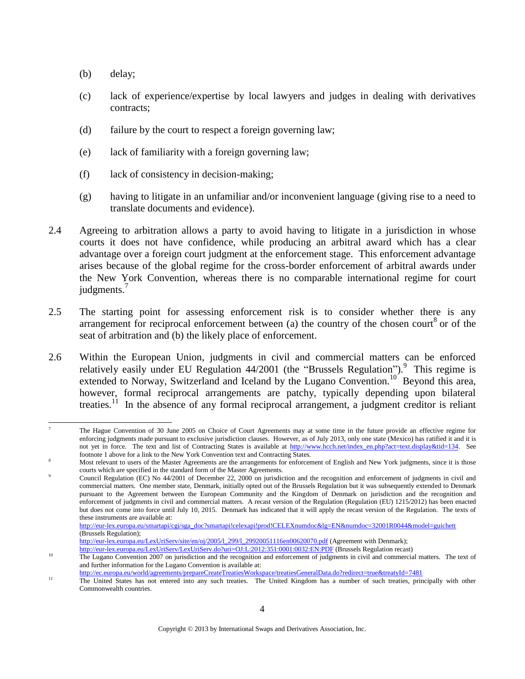- (b) delay;
- (c) lack of experience/expertise by local lawyers and judges in dealing with derivatives contracts;
- (d) failure by the court to respect a foreign governing law;
- (e) lack of familiarity with a foreign governing law;
- (f) lack of consistency in decision-making;
- (g) having to litigate in an unfamiliar and/or inconvenient language (giving rise to a need to translate documents and evidence).
- 2.4 Agreeing to arbitration allows a party to avoid having to litigate in a jurisdiction in whose courts it does not have confidence, while producing an arbitral award which has a clear advantage over a foreign court judgment at the enforcement stage. This enforcement advantage arises because of the global regime for the cross-border enforcement of arbitral awards under the New York Convention, whereas there is no comparable international regime for court judgments.<sup>7</sup>
- 2.5 The starting point for assessing enforcement risk is to consider whether there is any arrangement for reciprocal enforcement between (a) the country of the chosen court<sup>8</sup> or of the seat of arbitration and (b) the likely place of enforcement.
- 2.6 Within the European Union, judgments in civil and commercial matters can be enforced relatively easily under EU Regulation  $44/2001$  (the "Brussels Regulation").<sup>9</sup> This regime is extended to Norway, Switzerland and Iceland by the Lugano Convention.<sup>10</sup> Beyond this area, however, formal reciprocal arrangements are patchy, typically depending upon bilateral treaties.<sup>11</sup> In the absence of any formal reciprocal arrangement, a judgment creditor is reliant

l <sup>7</sup> The Hague Convention of 30 June 2005 on Choice of Court Agreements may at some time in the future provide an effective regime for enforcing judgments made pursuant to exclusive jurisdiction clauses. However, as of July 2013, only one state (Mexico) has ratified it and it is not yet in force. The text and list of Contracting States is available at [http://www.hcch.net/index\\_en.php?act=text.display&tid=134.](http://www.hcch.net/index_en.php?act=text.display&tid=134) See footnote 1 above for a link to the New York Convention text and Contracting States.

Most relevant to users of the Master Agreements are the arrangements for enforcement of English and New York judgments, since it is those courts which are specified in the standard form of the Master Agreements.

<sup>9</sup> Council Regulation (EC) No 44/2001 of December 22, 2000 on jurisdiction and the recognition and enforcement of judgments in civil and commercial matters. One member state, Denmark, initially opted out of the Brussels Regulation but it was subsequently extended to Denmark pursuant to the Agreement between the European Community and the Kingdom of Denmark on jurisdiction and the recognition and enforcement of judgments in civil and commercial matters. A recast version of the Regulation (Regulation (EU) 1215/2012) has been enacted but does not come into force until July 10, 2015. Denmark has indicated that it will apply the recast version of the Regulation. The texts of these instruments are available at:

[http://eur-lex.europa.eu/smartapi/cgi/sga\\_doc?smartapi!celexapi!prod!CELEXnumdoc&lg=EN&numdoc=32001R0044&model=guichett](http://eur-lex.europa.eu/smartapi/cgi/sga_doc?smartapi!celexapi!prod!CELEXnumdoc&lg=EN&numdoc=32001R0044&model=guichett) (Brussels Regulation);

[http://eur-lex.europa.eu/LexUriServ/site/en/oj/2005/l\\_299/l\\_29920051116en00620070.pdf](http://eur-lex.europa.eu/LexUriServ/site/en/oj/2005/l_299/l_29920051116en00620070.pdf) (Agreement with Denmark);

<http://eur-lex.europa.eu/LexUriServ/LexUriServ.do?uri=OJ:L:2012:351:0001:0032:EN:PDF> (Brussels Regulation recast)

<sup>&</sup>lt;sup>10</sup> The Lugano Convention 2007 on jurisdiction and the recognition and enforcement of judgments in civil and commercial matters. The text of and further information for the Lugano Convention is available at:

<http://ec.europa.eu/world/agreements/prepareCreateTreatiesWorkspace/treatiesGeneralData.do?redirect=true&treatyId=7481>

<sup>&</sup>lt;sup>11</sup> The United States has not entered into any such treaties. The United Kingdom has a number of such treaties, principally with other Commonwealth countries.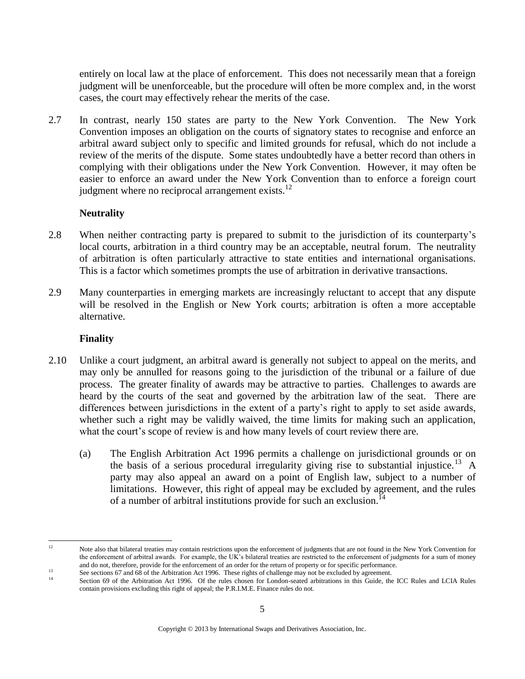entirely on local law at the place of enforcement. This does not necessarily mean that a foreign judgment will be unenforceable, but the procedure will often be more complex and, in the worst cases, the court may effectively rehear the merits of the case.

2.7 In contrast, nearly 150 states are party to the New York Convention. The New York Convention imposes an obligation on the courts of signatory states to recognise and enforce an arbitral award subject only to specific and limited grounds for refusal, which do not include a review of the merits of the dispute. Some states undoubtedly have a better record than others in complying with their obligations under the New York Convention. However, it may often be easier to enforce an award under the New York Convention than to enforce a foreign court judgment where no reciprocal arrangement exists. $^{12}$ 

## **Neutrality**

- 2.8 When neither contracting party is prepared to submit to the jurisdiction of its counterparty's local courts, arbitration in a third country may be an acceptable, neutral forum. The neutrality of arbitration is often particularly attractive to state entities and international organisations. This is a factor which sometimes prompts the use of arbitration in derivative transactions.
- 2.9 Many counterparties in emerging markets are increasingly reluctant to accept that any dispute will be resolved in the English or New York courts; arbitration is often a more acceptable alternative.

#### **Finality**

- <span id="page-9-0"></span>2.10 Unlike a court judgment, an arbitral award is generally not subject to appeal on the merits, and may only be annulled for reasons going to the jurisdiction of the tribunal or a failure of due process. The greater finality of awards may be attractive to parties. Challenges to awards are heard by the courts of the seat and governed by the arbitration law of the seat. There are differences between jurisdictions in the extent of a party's right to apply to set aside awards, whether such a right may be validly waived, the time limits for making such an application, what the court's scope of review is and how many levels of court review there are.
	- (a) The English Arbitration Act 1996 permits a challenge on jurisdictional grounds or on the basis of a serious procedural irregularity giving rise to substantial injustice.<sup>13</sup> A party may also appeal an award on a point of English law, subject to a number of limitations. However, this right of appeal may be excluded by agreement, and the rules of a number of arbitral institutions provide for such an exclusion.<sup> $14$ </sup>

 $12$ 

<sup>12</sup> Note also that bilateral treaties may contain restrictions upon the enforcement of judgments that are not found in the New York Convention for the enforcement of arbitral awards. For example, the UK's bilateral treaties are restricted to the enforcement of judgments for a sum of money and do not, therefore, provide for the enforcement of an order for the return of property or for specific performance.

<sup>13</sup> See sections 67 and 68 of the Arbitration Act 1996. These rights of challenge may not be excluded by agreement.

Section 69 of the Arbitration Act 1996. Of the rules chosen for London-seated arbitrations in this Guide, the ICC Rules and LCIA Rules contain provisions excluding this right of appeal; the P.R.I.M.E. Finance rules do not.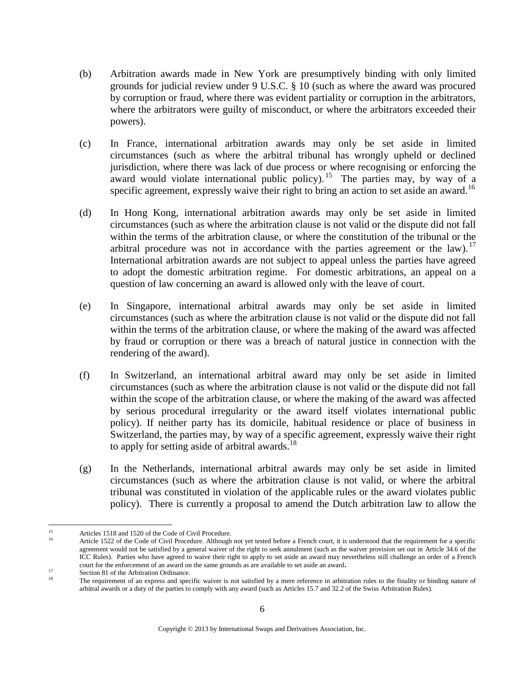- (b) Arbitration awards made in New York are presumptively binding with only limited grounds for judicial review under 9 U.S.C. § 10 (such as where the award was procured by corruption or fraud, where there was evident partiality or corruption in the arbitrators, where the arbitrators were guilty of misconduct, or where the arbitrators exceeded their powers).
- <span id="page-10-0"></span>(c) In France, international arbitration awards may only be set aside in limited circumstances (such as where the arbitral tribunal has wrongly upheld or declined jurisdiction, where there was lack of due process or where recognising or enforcing the award would violate international public policy).<sup>15</sup> The parties may, by way of a specific agreement, expressly waive their right to bring an action to set aside an award.<sup>16</sup>
- (d) In Hong Kong, international arbitration awards may only be set aside in limited circumstances (such as where the arbitration clause is not valid or the dispute did not fall within the terms of the arbitration clause, or where the constitution of the tribunal or the arbitral procedure was not in accordance with the parties agreement or the law).<sup>17</sup> International arbitration awards are not subject to appeal unless the parties have agreed to adopt the domestic arbitration regime. For domestic arbitrations, an appeal on a question of law concerning an award is allowed only with the leave of court.
- (e) In Singapore, international arbitral awards may only be set aside in limited circumstances (such as where the arbitration clause is not valid or the dispute did not fall within the terms of the arbitration clause, or where the making of the award was affected by fraud or corruption or there was a breach of natural justice in connection with the rendering of the award).
- (f) In Switzerland, an international arbitral award may only be set aside in limited circumstances (such as where the arbitration clause is not valid or the dispute did not fall within the scope of the arbitration clause, or where the making of the award was affected by serious procedural irregularity or the award itself violates international public policy). If neither party has its domicile, habitual residence or place of business in Switzerland, the parties may, by way of a specific agreement, expressly waive their right to apply for setting aside of arbitral awards. $18$
- (g) In the Netherlands, international arbitral awards may only be set aside in limited circumstances (such as where the arbitration clause is not valid, or where the arbitral tribunal was constituted in violation of the applicable rules or the award violates public policy). There is currently a proposal to amend the Dutch arbitration law to allow the

<sup>15</sup> <sup>15</sup><br>Articles 1518 and 1520 of the Code of Civil Procedure.

Article 1522 of the Code of Civil Procedure. Although not yet tested before a French court, it is understood that the requirement for a specific agreement would not be satisfied by a general waiver of the right to seek annulment (such as the waiver provision set out in Article 34.6 of the ICC Rules). Parties who have agreed to waive their right to apply to set aside an award may nevertheless still challenge an order of a French court for the enforcement of an award on the same grounds as are available to set aside an award**.**

<sup>&</sup>lt;sup>17</sup><br>Section 81 of the Arbitration Ordinance.

The requirement of an express and specific waiver is not satisfied by a mere reference in arbitration rules to the finality or binding nature of arbitral awards or a duty of the parties to comply with any award (such as Articles 15.7 and 32.2 of the Swiss Arbitration Rules).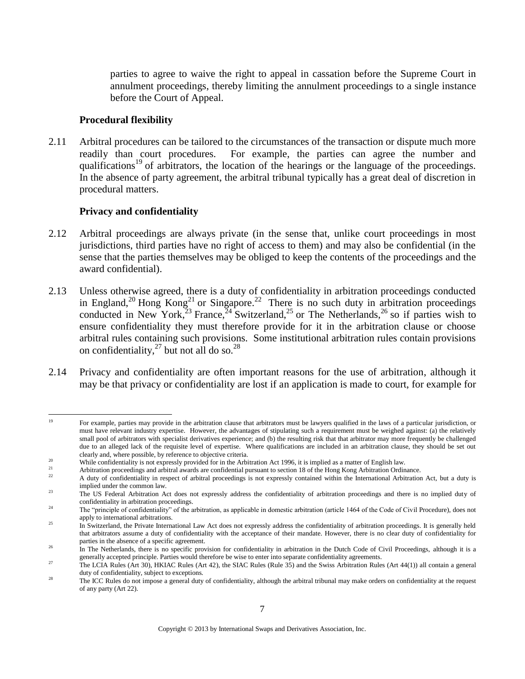parties to agree to waive the right to appeal in cassation before the Supreme Court in annulment proceedings, thereby limiting the annulment proceedings to a single instance before the Court of Appeal.

## **Procedural flexibility**

2.11 Arbitral procedures can be tailored to the circumstances of the transaction or dispute much more readily than court procedures. For example, the parties can agree the number and qualifications<sup>19</sup> of arbitrators, the location of the hearings or the language of the proceedings. In the absence of party agreement, the arbitral tribunal typically has a great deal of discretion in procedural matters.

## **Privacy and confidentiality**

- 2.12 Arbitral proceedings are always private (in the sense that, unlike court proceedings in most jurisdictions, third parties have no right of access to them) and may also be confidential (in the sense that the parties themselves may be obliged to keep the contents of the proceedings and the award confidential).
- 2.13 Unless otherwise agreed, there is a duty of confidentiality in arbitration proceedings conducted in England,<sup>20</sup> Hong Kong<sup>21</sup> or Singapore.<sup>22</sup> There is no such duty in arbitration proceedings conducted in New York,  $^{23}$  France,  $^{24}$  Switzerland,  $^{25}$  or The Netherlands,  $^{26}$  so if parties wish to ensure confidentiality they must therefore provide for it in the arbitration clause or choose arbitral rules containing such provisions. Some institutional arbitration rules contain provisions on confidentiality, $^{27}$  but not all do so. $^{28}$
- 2.14 Privacy and confidentiality are often important reasons for the use of arbitration, although it may be that privacy or confidentiality are lost if an application is made to court, for example for

 $19$ <sup>19</sup> For example, parties may provide in the arbitration clause that arbitrators must be lawyers qualified in the laws of a particular jurisdiction, or must have relevant industry expertise. However, the advantages of stipulating such a requirement must be weighed against: (a) the relatively small pool of arbitrators with specialist derivatives experience; and (b) the resulting risk that that arbitrator may more frequently be challenged due to an alleged lack of the requisite level of expertise. Where qualifications are included in an arbitration clause, they should be set out clearly and, where possible, by reference to objective criteria.

<sup>&</sup>lt;sup>20</sup><br>While confidentiality is not expressly provided for in the Arbitration Act 1996, it is implied as a matter of English law.

<sup>21</sup> Arbitration proceedings and arbitral awards are confidential pursuant to section 18 of the Hong Kong Arbitration Ordinance.

<sup>22</sup> A duty of confidentiality in respect of arbitral proceedings is not expressly contained within the International Arbitration Act, but a duty is implied under the common law.

<sup>&</sup>lt;sup>23</sup> The US Federal Arbitration Act does not expressly address the confidentiality of arbitration proceedings and there is no implied duty of confidentiality in arbitration proceedings.

<sup>&</sup>lt;sup>24</sup> The "principle of confidentiality" of the arbitration, as applicable in domestic arbitration (article 1464 of the Code of Civil Procedure), does not apply to international arbitrations.

<sup>&</sup>lt;sup>25</sup> In Switzerland, the Private International Law Act does not expressly address the confidentiality of arbitration proceedings. It is generally held that arbitrators assume a duty of confidentiality with the acceptance of their mandate. However, there is no clear duty of confidentiality for parties in the absence of a specific agreement.

 $^{26}$  In The Netherlands, there is no specific provision for confidentiality in arbitration in the Dutch Code of Civil Proceedings, although it is a generally accepted principle. Parties would therefore be wise to enter into separate confidentiality agreements.

<sup>&</sup>lt;sup>27</sup> The LCIA Rules (Art 30), HKIAC Rules (Art 42), the SIAC Rules (Rule 35) and the Swiss Arbitration Rules (Art 44(1)) all contain a general duty of confidentiality, subject to exceptions.

<sup>&</sup>lt;sup>28</sup> The ICC Rules do not impose a general duty of confidentiality, although the arbitral tribunal may make orders on confidentiality at the request of any party (Art 22).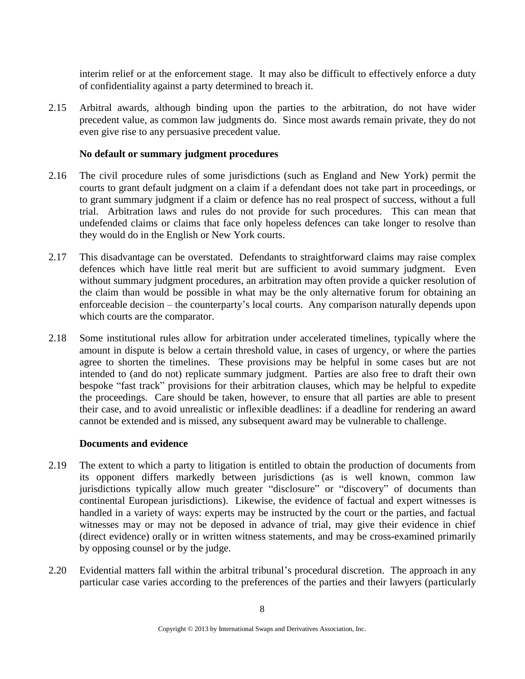interim relief or at the enforcement stage. It may also be difficult to effectively enforce a duty of confidentiality against a party determined to breach it.

2.15 Arbitral awards, although binding upon the parties to the arbitration, do not have wider precedent value, as common law judgments do. Since most awards remain private, they do not even give rise to any persuasive precedent value.

## **No default or summary judgment procedures**

- 2.16 The civil procedure rules of some jurisdictions (such as England and New York) permit the courts to grant default judgment on a claim if a defendant does not take part in proceedings, or to grant summary judgment if a claim or defence has no real prospect of success, without a full trial. Arbitration laws and rules do not provide for such procedures. This can mean that undefended claims or claims that face only hopeless defences can take longer to resolve than they would do in the English or New York courts.
- 2.17 This disadvantage can be overstated. Defendants to straightforward claims may raise complex defences which have little real merit but are sufficient to avoid summary judgment. Even without summary judgment procedures, an arbitration may often provide a quicker resolution of the claim than would be possible in what may be the only alternative forum for obtaining an enforceable decision – the counterparty's local courts. Any comparison naturally depends upon which courts are the comparator.
- 2.18 Some institutional rules allow for arbitration under accelerated timelines, typically where the amount in dispute is below a certain threshold value, in cases of urgency, or where the parties agree to shorten the timelines. These provisions may be helpful in some cases but are not intended to (and do not) replicate summary judgment. Parties are also free to draft their own bespoke "fast track" provisions for their arbitration clauses, which may be helpful to expedite the proceedings. Care should be taken, however, to ensure that all parties are able to present their case, and to avoid unrealistic or inflexible deadlines: if a deadline for rendering an award cannot be extended and is missed, any subsequent award may be vulnerable to challenge.

## **Documents and evidence**

- 2.19 The extent to which a party to litigation is entitled to obtain the production of documents from its opponent differs markedly between jurisdictions (as is well known, common law jurisdictions typically allow much greater "disclosure" or "discovery" of documents than continental European jurisdictions). Likewise, the evidence of factual and expert witnesses is handled in a variety of ways: experts may be instructed by the court or the parties, and factual witnesses may or may not be deposed in advance of trial, may give their evidence in chief (direct evidence) orally or in written witness statements, and may be cross-examined primarily by opposing counsel or by the judge.
- 2.20 Evidential matters fall within the arbitral tribunal's procedural discretion. The approach in any particular case varies according to the preferences of the parties and their lawyers (particularly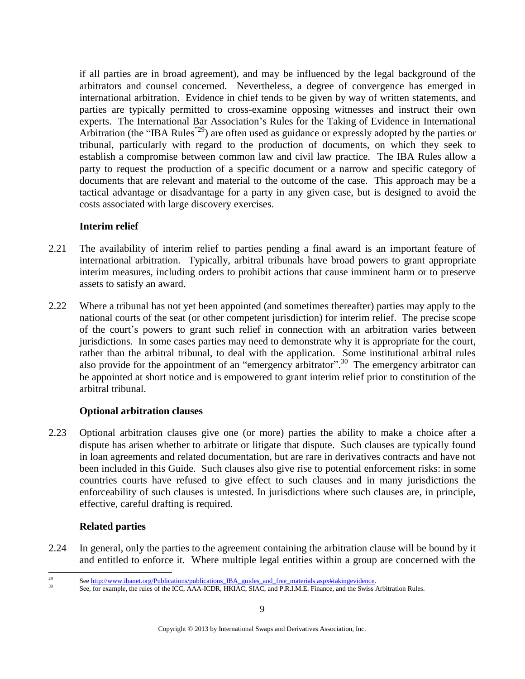if all parties are in broad agreement), and may be influenced by the legal background of the arbitrators and counsel concerned. Nevertheless, a degree of convergence has emerged in international arbitration. Evidence in chief tends to be given by way of written statements, and parties are typically permitted to cross-examine opposing witnesses and instruct their own experts. The International Bar Association's Rules for the Taking of Evidence in International Arbitration (the "IBA Rules<sup>"29</sup>) are often used as guidance or expressly adopted by the parties or tribunal, particularly with regard to the production of documents, on which they seek to establish a compromise between common law and civil law practice. The IBA Rules allow a party to request the production of a specific document or a narrow and specific category of documents that are relevant and material to the outcome of the case. This approach may be a tactical advantage or disadvantage for a party in any given case, but is designed to avoid the costs associated with large discovery exercises.

## **Interim relief**

- 2.21 The availability of interim relief to parties pending a final award is an important feature of international arbitration. Typically, arbitral tribunals have broad powers to grant appropriate interim measures, including orders to prohibit actions that cause imminent harm or to preserve assets to satisfy an award.
- 2.22 Where a tribunal has not yet been appointed (and sometimes thereafter) parties may apply to the national courts of the seat (or other competent jurisdiction) for interim relief. The precise scope of the court's powers to grant such relief in connection with an arbitration varies between jurisdictions. In some cases parties may need to demonstrate why it is appropriate for the court, rather than the arbitral tribunal, to deal with the application. Some institutional arbitral rules also provide for the appointment of an "emergency arbitrator".<sup>30</sup> The emergency arbitrator can be appointed at short notice and is empowered to grant interim relief prior to constitution of the arbitral tribunal.

## **Optional arbitration clauses**

2.23 Optional arbitration clauses give one (or more) parties the ability to make a choice after a dispute has arisen whether to arbitrate or litigate that dispute. Such clauses are typically found in loan agreements and related documentation, but are rare in derivatives contracts and have not been included in this Guide. Such clauses also give rise to potential enforcement risks: in some countries courts have refused to give effect to such clauses and in many jurisdictions the enforceability of such clauses is untested. In jurisdictions where such clauses are, in principle, effective, careful drafting is required.

## **Related parties**

2.24 In general, only the parties to the agreement containing the arbitration clause will be bound by it and entitled to enforce it. Where multiple legal entities within a group are concerned with the

 $29$ 29 See http://www.ibanet.org/Publications/publications IBA guides and free materials.aspx#takingevidence.

<sup>&</sup>lt;sup>30</sup> See, for example, the rules of the ICC, AAA-ICDR, HKIAC, SIAC, and P.R.I.M.E. Finance, and the Swiss Arbitration Rules.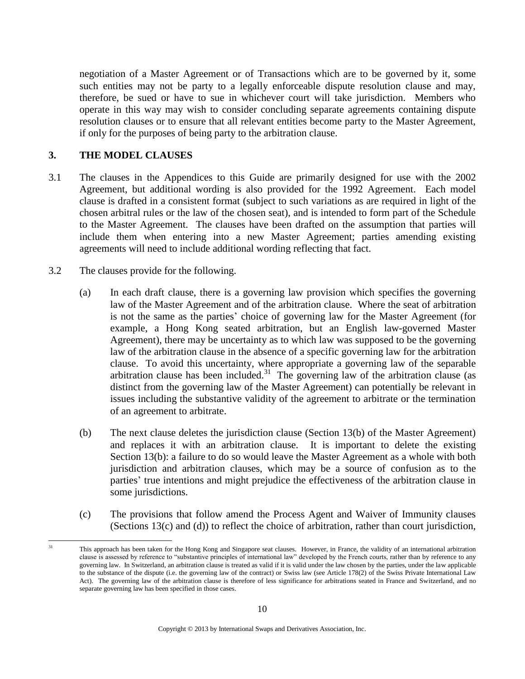negotiation of a Master Agreement or of Transactions which are to be governed by it, some such entities may not be party to a legally enforceable dispute resolution clause and may, therefore, be sued or have to sue in whichever court will take jurisdiction. Members who operate in this way may wish to consider concluding separate agreements containing dispute resolution clauses or to ensure that all relevant entities become party to the Master Agreement, if only for the purposes of being party to the arbitration clause.

## <span id="page-14-0"></span>**3. THE MODEL CLAUSES**

- 3.1 The clauses in the Appendices to this Guide are primarily designed for use with the 2002 Agreement, but additional wording is also provided for the 1992 Agreement. Each model clause is drafted in a consistent format (subject to such variations as are required in light of the chosen arbitral rules or the law of the chosen seat), and is intended to form part of the Schedule to the Master Agreement. The clauses have been drafted on the assumption that parties will include them when entering into a new Master Agreement; parties amending existing agreements will need to include additional wording reflecting that fact.
- 3.2 The clauses provide for the following.

 $31$ 

- (a) In each draft clause, there is a governing law provision which specifies the governing law of the Master Agreement and of the arbitration clause. Where the seat of arbitration is not the same as the parties' choice of governing law for the Master Agreement (for example, a Hong Kong seated arbitration, but an English law-governed Master Agreement), there may be uncertainty as to which law was supposed to be the governing law of the arbitration clause in the absence of a specific governing law for the arbitration clause. To avoid this uncertainty, where appropriate a governing law of the separable arbitration clause has been included. $31$  The governing law of the arbitration clause (as distinct from the governing law of the Master Agreement) can potentially be relevant in issues including the substantive validity of the agreement to arbitrate or the termination of an agreement to arbitrate.
- (b) The next clause deletes the jurisdiction clause (Section 13(b) of the Master Agreement) and replaces it with an arbitration clause. It is important to delete the existing Section 13(b): a failure to do so would leave the Master Agreement as a whole with both jurisdiction and arbitration clauses, which may be a source of confusion as to the parties' true intentions and might prejudice the effectiveness of the arbitration clause in some jurisdictions.
- (c) The provisions that follow amend the Process Agent and Waiver of Immunity clauses (Sections 13(c) and (d)) to reflect the choice of arbitration, rather than court jurisdiction,

This approach has been taken for the Hong Kong and Singapore seat clauses. However, in France, the validity of an international arbitration clause is assessed by reference to "substantive principles of international law" developed by the French courts, rather than by reference to any governing law. In Switzerland, an arbitration clause is treated as valid if it is valid under the law chosen by the parties, under the law applicable to the substance of the dispute (i.e. the governing law of the contract) or Swiss law (see Article 178(2) of the Swiss Private International Law Act). The governing law of the arbitration clause is therefore of less significance for arbitrations seated in France and Switzerland, and no separate governing law has been specified in those cases.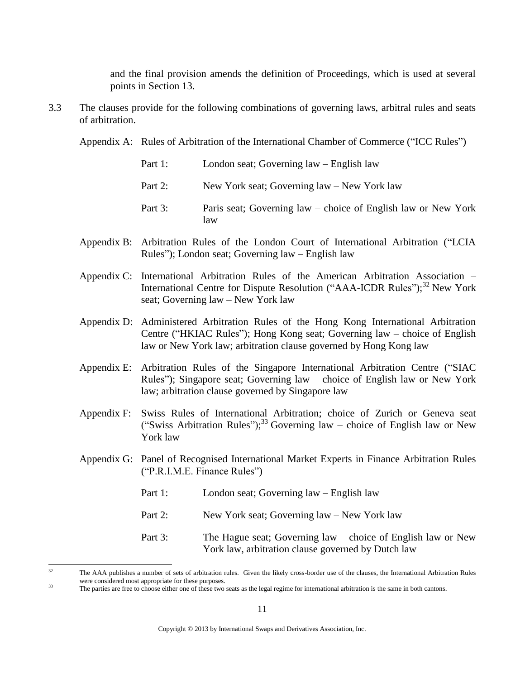and the final provision amends the definition of Proceedings, which is used at several points in Section 13.

3.3 The clauses provide for the following combinations of governing laws, arbitral rules and seats of arbitration.

law

- Appendix A: Rules of Arbitration of the International Chamber of Commerce ("ICC Rules")
	- Part 1: London seat; Governing law English law Part 2: New York seat; Governing law – New York law Part 3: Paris seat; Governing law – choice of English law or New York
- Appendix B: Arbitration Rules of the London Court of International Arbitration ("LCIA Rules"); London seat; Governing law – English law
- Appendix C: International Arbitration Rules of the American Arbitration Association International Centre for Dispute Resolution ("AAA-ICDR Rules");<sup>32</sup> New York seat; Governing law – New York law
- Appendix D: Administered Arbitration Rules of the Hong Kong International Arbitration Centre ("HKIAC Rules"); Hong Kong seat; Governing law – choice of English law or New York law; arbitration clause governed by Hong Kong law
- Appendix E: Arbitration Rules of the Singapore International Arbitration Centre ("SIAC Rules"); Singapore seat; Governing law – choice of English law or New York law; arbitration clause governed by Singapore law
- Appendix F: Swiss Rules of International Arbitration; choice of Zurich or Geneva seat ("Swiss Arbitration Rules");<sup>33</sup> Governing law – choice of English law or New York law
- Appendix G: Panel of Recognised International Market Experts in Finance Arbitration Rules ("P.R.I.M.E. Finance Rules")
	- Part 1: London seat; Governing law English law
	- Part 2: New York seat; Governing law New York law
	- Part 3: The Hague seat; Governing law choice of English law or New York law, arbitration clause governed by Dutch law

 $32$ <sup>32</sup> The AAA publishes a number of sets of arbitration rules. Given the likely cross-border use of the clauses, the International Arbitration Rules were considered most appropriate for these purposes.

<sup>&</sup>lt;sup>33</sup><br>The parties are free to choose either one of these two seats as the legal regime for international arbitration is the same in both cantons.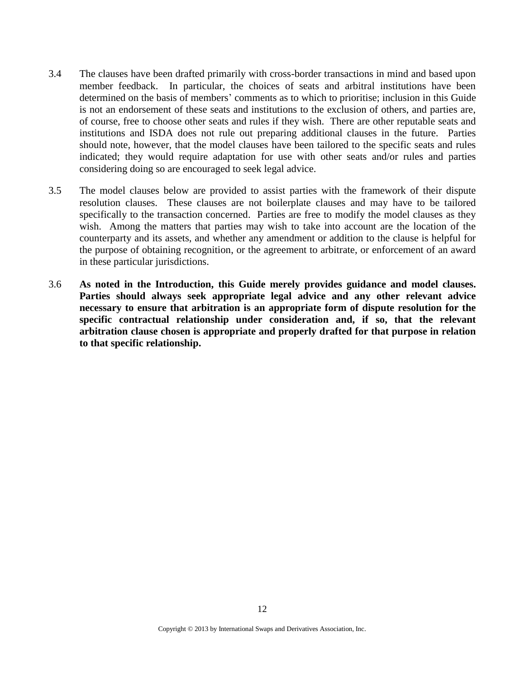- 3.4 The clauses have been drafted primarily with cross-border transactions in mind and based upon member feedback. In particular, the choices of seats and arbitral institutions have been determined on the basis of members' comments as to which to prioritise; inclusion in this Guide is not an endorsement of these seats and institutions to the exclusion of others, and parties are, of course, free to choose other seats and rules if they wish. There are other reputable seats and institutions and ISDA does not rule out preparing additional clauses in the future. Parties should note, however, that the model clauses have been tailored to the specific seats and rules indicated; they would require adaptation for use with other seats and/or rules and parties considering doing so are encouraged to seek legal advice.
- 3.5 The model clauses below are provided to assist parties with the framework of their dispute resolution clauses. These clauses are not boilerplate clauses and may have to be tailored specifically to the transaction concerned. Parties are free to modify the model clauses as they wish. Among the matters that parties may wish to take into account are the location of the counterparty and its assets, and whether any amendment or addition to the clause is helpful for the purpose of obtaining recognition, or the agreement to arbitrate, or enforcement of an award in these particular jurisdictions.
- 3.6 **As noted in the Introduction, this Guide merely provides guidance and model clauses. Parties should always seek appropriate legal advice and any other relevant advice necessary to ensure that arbitration is an appropriate form of dispute resolution for the specific contractual relationship under consideration and, if so, that the relevant arbitration clause chosen is appropriate and properly drafted for that purpose in relation to that specific relationship.**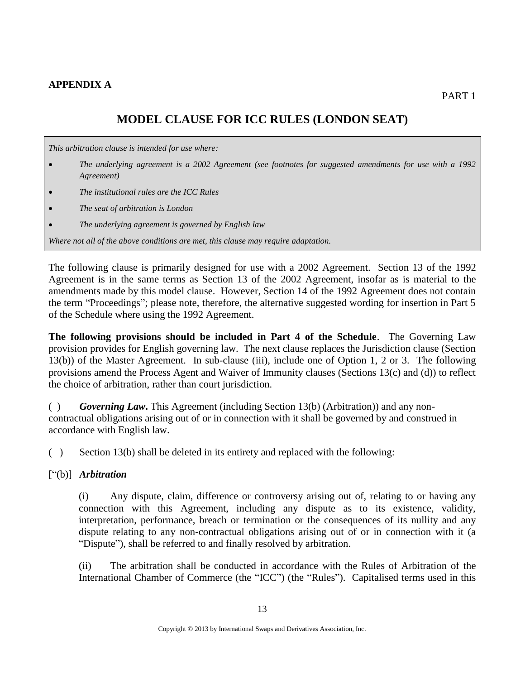## **APPENDIX A**

## **MODEL CLAUSE FOR ICC RULES (LONDON SEAT)**

*This arbitration clause is intended for use where:*

- *The underlying agreement is a 2002 Agreement (see footnotes for suggested amendments for use with a 1992 Agreement)*
- *The institutional rules are the ICC Rules*
- *The seat of arbitration is London*
- *The underlying agreement is governed by English law*

*Where not all of the above conditions are met, this clause may require adaptation.*

The following clause is primarily designed for use with a 2002 Agreement. Section 13 of the 1992 Agreement is in the same terms as Section 13 of the 2002 Agreement, insofar as is material to the amendments made by this model clause. However, Section 14 of the 1992 Agreement does not contain the term "Proceedings"; please note, therefore, the alternative suggested wording for insertion in Part 5 of the Schedule where using the 1992 Agreement.

**The following provisions should be included in Part 4 of the Schedule**. The Governing Law provision provides for English governing law. The next clause replaces the Jurisdiction clause (Section 13(b)) of the Master Agreement. In sub-clause (iii), include one of Option 1, 2 or 3. The following provisions amend the Process Agent and Waiver of Immunity clauses (Sections 13(c) and (d)) to reflect the choice of arbitration, rather than court jurisdiction.

( ) *Governing Law***.** This Agreement (including Section 13(b) (Arbitration)) and any noncontractual obligations arising out of or in connection with it shall be governed by and construed in accordance with English law.

( ) Section 13(b) shall be deleted in its entirety and replaced with the following:

["(b)] *Arbitration*

(i) Any dispute, claim, difference or controversy arising out of, relating to or having any connection with this Agreement, including any dispute as to its existence, validity, interpretation, performance, breach or termination or the consequences of its nullity and any dispute relating to any non-contractual obligations arising out of or in connection with it (a "Dispute"), shall be referred to and finally resolved by arbitration.

(ii) The arbitration shall be conducted in accordance with the Rules of Arbitration of the International Chamber of Commerce (the "ICC") (the "Rules"). Capitalised terms used in this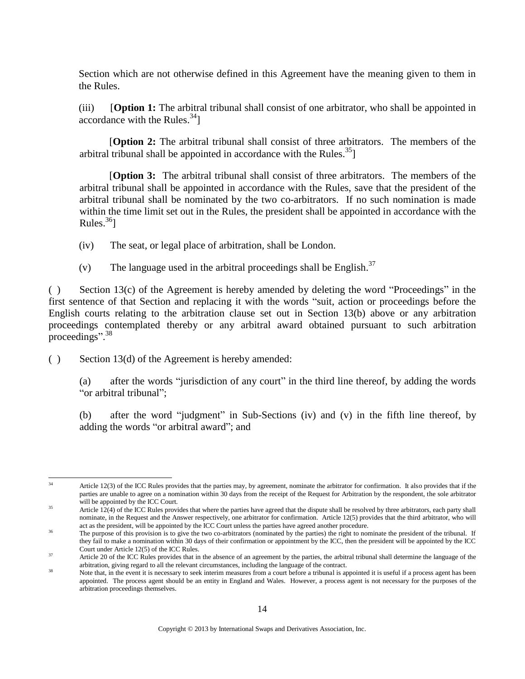Section which are not otherwise defined in this Agreement have the meaning given to them in the Rules.

(iii) [**Option 1:** The arbitral tribunal shall consist of one arbitrator, who shall be appointed in accordance with the Rules.<sup>34</sup>]

[**Option 2:** The arbitral tribunal shall consist of three arbitrators. The members of the arbitral tribunal shall be appointed in accordance with the Rules.<sup>35</sup>]

[**Option 3:** The arbitral tribunal shall consist of three arbitrators. The members of the arbitral tribunal shall be appointed in accordance with the Rules, save that the president of the arbitral tribunal shall be nominated by the two co-arbitrators. If no such nomination is made within the time limit set out in the Rules, the president shall be appointed in accordance with the Rules. $36$ ]

- (iv) The seat, or legal place of arbitration, shall be London.
- (v) The language used in the arbitral proceedings shall be English.<sup>37</sup>

( ) Section 13(c) of the Agreement is hereby amended by deleting the word "Proceedings" in the first sentence of that Section and replacing it with the words "suit, action or proceedings before the English courts relating to the arbitration clause set out in Section 13(b) above or any arbitration proceedings contemplated thereby or any arbitral award obtained pursuant to such arbitration proceedings".<sup>38</sup>

( $\epsilon$ ) Section 13(d) of the Agreement is hereby amended:

(a) after the words "jurisdiction of any court" in the third line thereof, by adding the words "or arbitral tribunal";

(b) after the word "judgment" in Sub-Sections (iv) and (v) in the fifth line thereof, by adding the words "or arbitral award"; and

 $34$ Article 12(3) of the ICC Rules provides that the parties may, by agreement, nominate the arbitrator for confirmation. It also provides that if the parties are unable to agree on a nomination within 30 days from the receipt of the Request for Arbitration by the respondent, the sole arbitrator will be appointed by the ICC Court.

 $\frac{35}{200}$  Article 12(4) of the ICC Rules provides that where the parties have agreed that the dispute shall be resolved by three arbitrators, each party shall nominate, in the Request and the Answer respectively, one arbitrator for confirmation. Article 12(5) provides that the third arbitrator, who will act as the president, will be appointed by the ICC Court unless the parties have agreed another procedure.

<sup>&</sup>lt;sup>36</sup> The purpose of this provision is to give the two co-arbitrators (nominated by the parties) the right to nominate the president of the tribunal. If they fail to make a nomination within 30 days of their confirmation or appointment by the ICC, then the president will be appointed by the ICC Court under Article 12(5) of the ICC Rules.

<sup>&</sup>lt;sup>37</sup> Article 20 of the ICC Rules provides that in the absence of an agreement by the parties, the arbitral tribunal shall determine the language of the arbitration, giving regard to all the relevant circumstances, including the language of the contract.

<sup>&</sup>lt;sup>38</sup> Note that, in the event it is necessary to seek interim measures from a court before a tribunal is appointed it is useful if a process agent has been appointed. The process agent should be an entity in England and Wales. However, a process agent is not necessary for the purposes of the arbitration proceedings themselves.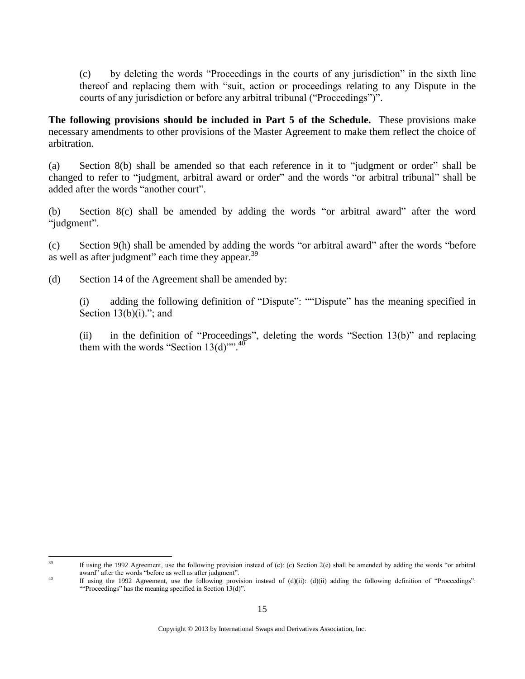(c) by deleting the words "Proceedings in the courts of any jurisdiction" in the sixth line thereof and replacing them with "suit, action or proceedings relating to any Dispute in the courts of any jurisdiction or before any arbitral tribunal ("Proceedings")".

**The following provisions should be included in Part 5 of the Schedule.** These provisions make necessary amendments to other provisions of the Master Agreement to make them reflect the choice of arbitration.

(a) Section 8(b) shall be amended so that each reference in it to "judgment or order" shall be changed to refer to "judgment, arbitral award or order" and the words "or arbitral tribunal" shall be added after the words "another court".

(b) Section 8(c) shall be amended by adding the words "or arbitral award" after the word "judgment".

(c) Section 9(h) shall be amended by adding the words "or arbitral award" after the words "before as well as after judgment" each time they appear.<sup>39</sup>

(d) Section 14 of the Agreement shall be amended by:

(i) adding the following definition of "Dispute": ""Dispute" has the meaning specified in Section  $13(b)(i)$ ."; and

(ii) in the definition of "Proceedings", deleting the words "Section 13(b)" and replacing them with the words "Section  $13(d)$ "".<sup>40</sup>

<sup>39</sup> If using the 1992 Agreement, use the following provision instead of (c): (c) Section  $2(e)$  shall be amended by adding the words "or arbitral award" after the words "before as well as after judgment".

<sup>40</sup> If using the 1992 Agreement, use the following provision instead of (d)(ii): (d)(ii) adding the following definition of "Proceedings": ""Proceedings" has the meaning specified in Section 13(d)".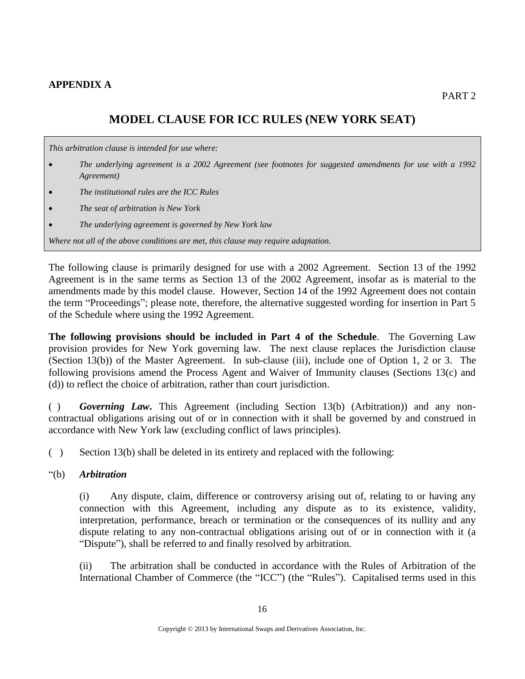## **APPENDIX A**

## **MODEL CLAUSE FOR ICC RULES (NEW YORK SEAT)**

*This arbitration clause is intended for use where:*

- *The underlying agreement is a 2002 Agreement (see footnotes for suggested amendments for use with a 1992 Agreement)*
- *The institutional rules are the ICC Rules*
- *The seat of arbitration is New York*
- *The underlying agreement is governed by New York law*

*Where not all of the above conditions are met, this clause may require adaptation.*

The following clause is primarily designed for use with a 2002 Agreement. Section 13 of the 1992 Agreement is in the same terms as Section 13 of the 2002 Agreement, insofar as is material to the amendments made by this model clause. However, Section 14 of the 1992 Agreement does not contain the term "Proceedings"; please note, therefore, the alternative suggested wording for insertion in Part 5 of the Schedule where using the 1992 Agreement.

**The following provisions should be included in Part 4 of the Schedule**. The Governing Law provision provides for New York governing law. The next clause replaces the Jurisdiction clause (Section 13(b)) of the Master Agreement. In sub-clause (iii), include one of Option 1, 2 or 3. The following provisions amend the Process Agent and Waiver of Immunity clauses (Sections 13(c) and (d)) to reflect the choice of arbitration, rather than court jurisdiction.

( ) *Governing Law***.** This Agreement (including Section 13(b) (Arbitration)) and any noncontractual obligations arising out of or in connection with it shall be governed by and construed in accordance with New York law (excluding conflict of laws principles).

( ) Section 13(b) shall be deleted in its entirety and replaced with the following:

"(b) *Arbitration*

(i) Any dispute, claim, difference or controversy arising out of, relating to or having any connection with this Agreement, including any dispute as to its existence, validity, interpretation, performance, breach or termination or the consequences of its nullity and any dispute relating to any non-contractual obligations arising out of or in connection with it (a "Dispute"), shall be referred to and finally resolved by arbitration.

(ii) The arbitration shall be conducted in accordance with the Rules of Arbitration of the International Chamber of Commerce (the "ICC") (the "Rules"). Capitalised terms used in this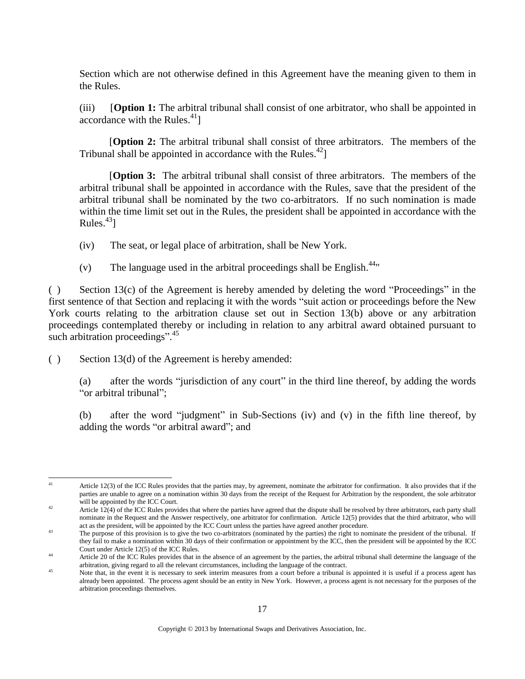Section which are not otherwise defined in this Agreement have the meaning given to them in the Rules.

(iii) [**Option 1:** The arbitral tribunal shall consist of one arbitrator, who shall be appointed in accordance with the Rules.<sup>41</sup>]

[**Option 2:** The arbitral tribunal shall consist of three arbitrators. The members of the Tribunal shall be appointed in accordance with the Rules. $^{42}$ ]

[**Option 3:** The arbitral tribunal shall consist of three arbitrators. The members of the arbitral tribunal shall be appointed in accordance with the Rules, save that the president of the arbitral tribunal shall be nominated by the two co-arbitrators. If no such nomination is made within the time limit set out in the Rules, the president shall be appointed in accordance with the Rules. $43$ ]

- (iv) The seat, or legal place of arbitration, shall be New York.
- (v) The language used in the arbitral proceedings shall be English.<sup>44</sup><sup> $\text{u}$ </sup>

( ) Section 13(c) of the Agreement is hereby amended by deleting the word "Proceedings" in the first sentence of that Section and replacing it with the words "suit action or proceedings before the New York courts relating to the arbitration clause set out in Section 13(b) above or any arbitration proceedings contemplated thereby or including in relation to any arbitral award obtained pursuant to such arbitration proceedings".<sup>45</sup>

( $\epsilon$ ) Section 13(d) of the Agreement is hereby amended:

(a) after the words "jurisdiction of any court" in the third line thereof, by adding the words "or arbitral tribunal";

(b) after the word "judgment" in Sub-Sections (iv) and (v) in the fifth line thereof, by adding the words "or arbitral award"; and

 $41$ Article 12(3) of the ICC Rules provides that the parties may, by agreement, nominate the arbitrator for confirmation. It also provides that if the parties are unable to agree on a nomination within 30 days from the receipt of the Request for Arbitration by the respondent, the sole arbitrator will be appointed by the ICC Court.

 $42$  Article 12(4) of the ICC Rules provides that where the parties have agreed that the dispute shall be resolved by three arbitrators, each party shall nominate in the Request and the Answer respectively, one arbitrator for confirmation. Article 12(5) provides that the third arbitrator, who will act as the president, will be appointed by the ICC Court unless the parties have agreed another procedure.

<sup>&</sup>lt;sup>43</sup> The purpose of this provision is to give the two co-arbitrators (nominated by the parties) the right to nominate the president of the tribunal. If they fail to make a nomination within 30 days of their confirmation or appointment by the ICC, then the president will be appointed by the ICC Court under Article 12(5) of the ICC Rules.

<sup>44</sup> Article 20 of the ICC Rules provides that in the absence of an agreement by the parties, the arbitral tribunal shall determine the language of the arbitration, giving regard to all the relevant circumstances, including the language of the contract.

As Note that, in the event it is necessary to seek interim measures from a court before a tribunal is appointed it is useful if a process agent has already been appointed. The process agent should be an entity in New York. However, a process agent is not necessary for the purposes of the arbitration proceedings themselves.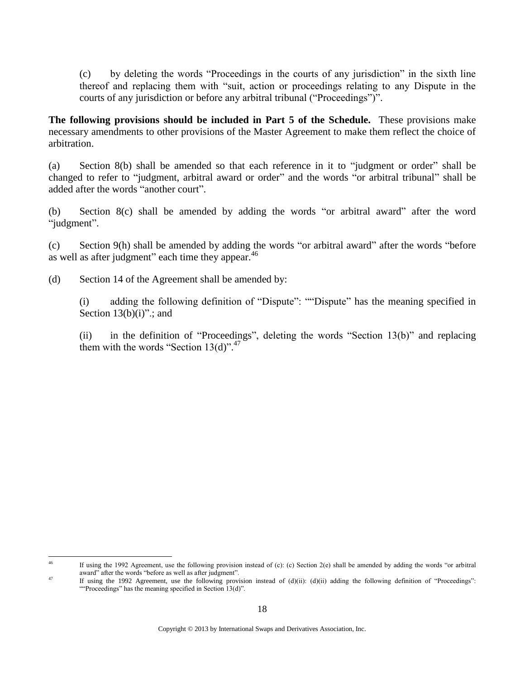(c) by deleting the words "Proceedings in the courts of any jurisdiction" in the sixth line thereof and replacing them with "suit, action or proceedings relating to any Dispute in the courts of any jurisdiction or before any arbitral tribunal ("Proceedings")".

**The following provisions should be included in Part 5 of the Schedule.** These provisions make necessary amendments to other provisions of the Master Agreement to make them reflect the choice of arbitration.

(a) Section 8(b) shall be amended so that each reference in it to "judgment or order" shall be changed to refer to "judgment, arbitral award or order" and the words "or arbitral tribunal" shall be added after the words "another court".

(b) Section 8(c) shall be amended by adding the words "or arbitral award" after the word "judgment".

(c) Section 9(h) shall be amended by adding the words "or arbitral award" after the words "before as well as after judgment" each time they appear.<sup>46</sup>

(d) Section 14 of the Agreement shall be amended by:

(i) adding the following definition of "Dispute": ""Dispute" has the meaning specified in Section  $13(b)(i)$ ": and

(ii) in the definition of "Proceedings", deleting the words "Section 13(b)" and replacing them with the words "Section  $13(d)$ ".<sup>47</sup>

 $46$ If using the 1992 Agreement, use the following provision instead of (c): (c) Section  $2(e)$  shall be amended by adding the words "or arbitral award" after the words "before as well as after judgment".

<sup>&</sup>lt;sup>47</sup> If using the 1992 Agreement, use the following provision instead of (d)(ii): (d)(ii) adding the following definition of "Proceedings": ""Proceedings" has the meaning specified in Section 13(d)".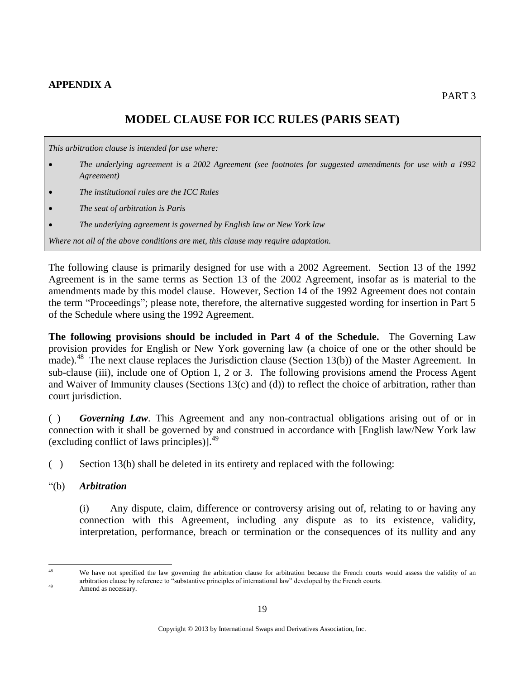## **APPENDIX A**

## **MODEL CLAUSE FOR ICC RULES (PARIS SEAT)**

*This arbitration clause is intended for use where:*

- *The underlying agreement is a 2002 Agreement (see footnotes for suggested amendments for use with a 1992 Agreement)*
- *The institutional rules are the ICC Rules*
- *The seat of arbitration is Paris*
- *The underlying agreement is governed by English law or New York law*

*Where not all of the above conditions are met, this clause may require adaptation.*

The following clause is primarily designed for use with a 2002 Agreement. Section 13 of the 1992 Agreement is in the same terms as Section 13 of the 2002 Agreement, insofar as is material to the amendments made by this model clause. However, Section 14 of the 1992 Agreement does not contain the term "Proceedings"; please note, therefore, the alternative suggested wording for insertion in Part 5 of the Schedule where using the 1992 Agreement.

**The following provisions should be included in Part 4 of the Schedule.** The Governing Law provision provides for English or New York governing law (a choice of one or the other should be made).<sup>48</sup> The next clause replaces the Jurisdiction clause (Section 13(b)) of the Master Agreement. In sub-clause (iii), include one of Option 1, 2 or 3. The following provisions amend the Process Agent and Waiver of Immunity clauses (Sections 13(c) and (d)) to reflect the choice of arbitration, rather than court jurisdiction.

( ) *Governing Law*. This Agreement and any non-contractual obligations arising out of or in connection with it shall be governed by and construed in accordance with [English law/New York law (excluding conflict of laws principles)]. 49

( ) Section 13(b) shall be deleted in its entirety and replaced with the following:

"(b) *Arbitration*

(i) Any dispute, claim, difference or controversy arising out of, relating to or having any connection with this Agreement, including any dispute as to its existence, validity, interpretation, performance, breach or termination or the consequences of its nullity and any

 $48$ We have not specified the law governing the arbitration clause for arbitration because the French courts would assess the validity of an arbitration clause by reference to "substantive principles of international law" developed by the French courts.

 $49$  Amend as necessary.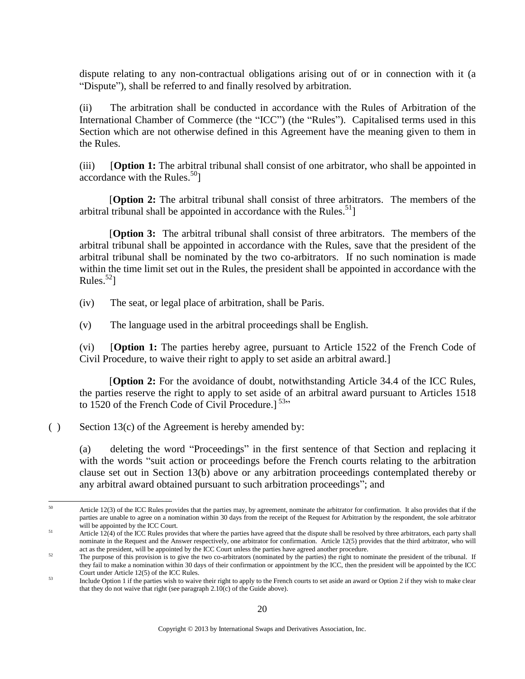dispute relating to any non-contractual obligations arising out of or in connection with it (a "Dispute"), shall be referred to and finally resolved by arbitration.

(ii) The arbitration shall be conducted in accordance with the Rules of Arbitration of the International Chamber of Commerce (the "ICC") (the "Rules"). Capitalised terms used in this Section which are not otherwise defined in this Agreement have the meaning given to them in the Rules.

(iii) [**Option 1:** The arbitral tribunal shall consist of one arbitrator, who shall be appointed in accordance with the Rules.<sup>50</sup>]

[**Option 2:** The arbitral tribunal shall consist of three arbitrators. The members of the arbitral tribunal shall be appointed in accordance with the Rules.<sup>51</sup>]

[**Option 3:** The arbitral tribunal shall consist of three arbitrators. The members of the arbitral tribunal shall be appointed in accordance with the Rules, save that the president of the arbitral tribunal shall be nominated by the two co-arbitrators. If no such nomination is made within the time limit set out in the Rules, the president shall be appointed in accordance with the Rules. $52$ ]

(iv) The seat, or legal place of arbitration, shall be Paris.

(v) The language used in the arbitral proceedings shall be English.

(vi) [**Option 1:** The parties hereby agree, pursuant to Article 1522 of the French Code of Civil Procedure, to waive their right to apply to set aside an arbitral award.]

[**Option 2:** For the avoidance of doubt, notwithstanding Article 34.4 of the ICC Rules, the parties reserve the right to apply to set aside of an arbitral award pursuant to Articles 1518 to 1520 of the French Code of Civil Procedure.]  $53$ <sup>53</sup>

## ( ) Section 13(c) of the Agreement is hereby amended by:

(a) deleting the word "Proceedings" in the first sentence of that Section and replacing it with the words "suit action or proceedings before the French courts relating to the arbitration clause set out in Section 13(b) above or any arbitration proceedings contemplated thereby or any arbitral award obtained pursuant to such arbitration proceedings"; and

<sup>50</sup> Article 12(3) of the ICC Rules provides that the parties may, by agreement, nominate the arbitrator for confirmation. It also provides that if the parties are unable to agree on a nomination within 30 days from the receipt of the Request for Arbitration by the respondent, the sole arbitrator will be appointed by the ICC Court.

 $\frac{51}{12(4)}$  of the ICC Rules provides that where the parties have agreed that the dispute shall be resolved by three arbitrators, each party shall nominate in the Request and the Answer respectively, one arbitrator for confirmation. Article 12(5) provides that the third arbitrator, who will act as the president, will be appointed by the ICC Court unless the parties have agreed another procedure.

 $52$  The purpose of this provision is to give the two co-arbitrators (nominated by the parties) the right to nominate the president of the tribunal. If they fail to make a nomination within 30 days of their confirmation or appointment by the ICC, then the president will be appointed by the ICC Court under Article 12(5) of the ICC Rules.

<sup>&</sup>lt;sup>53</sup> Include Option 1 if the parties wish to waive their right to apply to the French courts to set aside an award or Option 2 if they wish to make clear that they do not waive that right (see paragraph  $2.10(c)$  of the Guide above).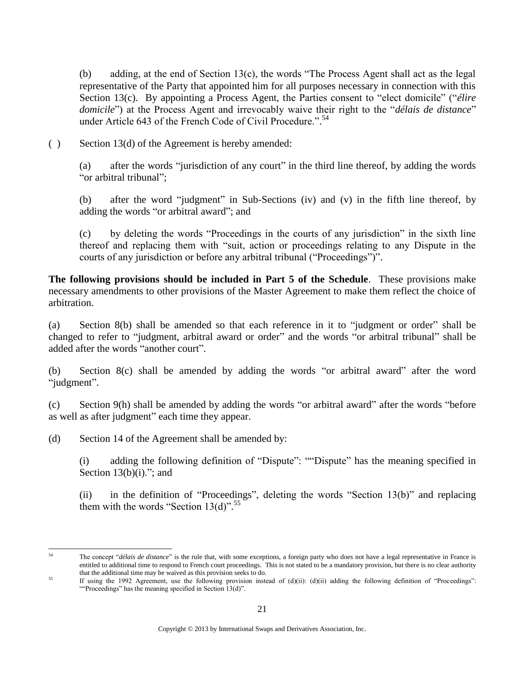(b) adding, at the end of Section 13(c), the words "The Process Agent shall act as the legal representative of the Party that appointed him for all purposes necessary in connection with this Section 13(c). By appointing a Process Agent, the Parties consent to "elect domicile" ("*élire domicile*") at the Process Agent and irrevocably waive their right to the "*délais de distance*" under Article 643 of the French Code of Civil Procedure.".<sup>54</sup>

( ) Section 13(d) of the Agreement is hereby amended:

(a) after the words "jurisdiction of any court" in the third line thereof, by adding the words "or arbitral tribunal";

(b) after the word "judgment" in Sub-Sections (iv) and (v) in the fifth line thereof, by adding the words "or arbitral award"; and

(c) by deleting the words "Proceedings in the courts of any jurisdiction" in the sixth line thereof and replacing them with "suit, action or proceedings relating to any Dispute in the courts of any jurisdiction or before any arbitral tribunal ("Proceedings")".

**The following provisions should be included in Part 5 of the Schedule**. These provisions make necessary amendments to other provisions of the Master Agreement to make them reflect the choice of arbitration.

(a) Section 8(b) shall be amended so that each reference in it to "judgment or order" shall be changed to refer to "judgment, arbitral award or order" and the words "or arbitral tribunal" shall be added after the words "another court".

(b) Section 8(c) shall be amended by adding the words "or arbitral award" after the word "judgment".

(c) Section 9(h) shall be amended by adding the words "or arbitral award" after the words "before as well as after judgment" each time they appear.

(d) Section 14 of the Agreement shall be amended by:

(i) adding the following definition of "Dispute": ""Dispute" has the meaning specified in Section  $13(b)(i)$ ."; and

(ii) in the definition of "Proceedings", deleting the words "Section 13(b)" and replacing them with the words "Section  $13(d)$ ".<sup>55</sup>

<sup>54</sup> 

The concept "*délais de distance*" is the rule that, with some exceptions, a foreign party who does not have a legal representative in France is entitled to additional time to respond to French court proceedings. This is not stated to be a mandatory provision, but there is no clear authority that the additional time may be waived as this provision seeks to do.

<sup>55</sup> If using the 1992 Agreement, use the following provision instead of (d)(ii): (d)(ii) adding the following definition of "Proceedings": ""Proceedings" has the meaning specified in Section 13(d)".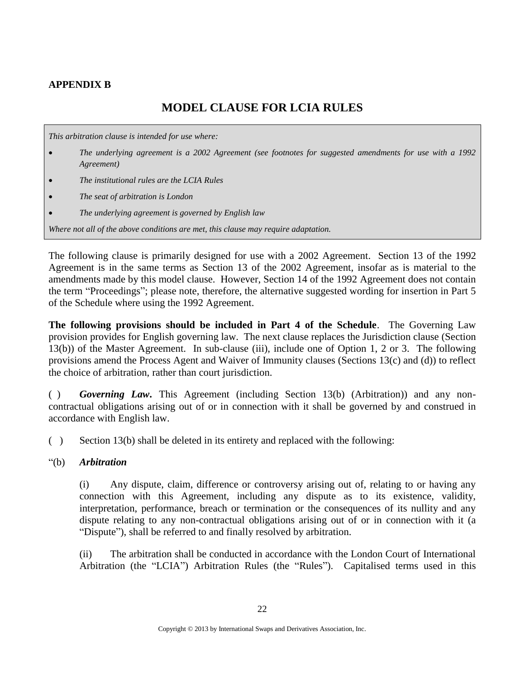## **APPENDIX B**

# **MODEL CLAUSE FOR LCIA RULES**

*This arbitration clause is intended for use where:*

- *The underlying agreement is a 2002 Agreement (see footnotes for suggested amendments for use with a 1992 Agreement)*
- *The institutional rules are the LCIA Rules*
- *The seat of arbitration is London*
- *The underlying agreement is governed by English law*

*Where not all of the above conditions are met, this clause may require adaptation.*

The following clause is primarily designed for use with a 2002 Agreement. Section 13 of the 1992 Agreement is in the same terms as Section 13 of the 2002 Agreement, insofar as is material to the amendments made by this model clause. However, Section 14 of the 1992 Agreement does not contain the term "Proceedings"; please note, therefore, the alternative suggested wording for insertion in Part 5 of the Schedule where using the 1992 Agreement.

**The following provisions should be included in Part 4 of the Schedule**. The Governing Law provision provides for English governing law. The next clause replaces the Jurisdiction clause (Section 13(b)) of the Master Agreement. In sub-clause (iii), include one of Option 1, 2 or 3. The following provisions amend the Process Agent and Waiver of Immunity clauses (Sections 13(c) and (d)) to reflect the choice of arbitration, rather than court jurisdiction.

( ) *Governing Law***.** This Agreement (including Section 13(b) (Arbitration)) and any noncontractual obligations arising out of or in connection with it shall be governed by and construed in accordance with English law.

 $($ ) Section 13(b) shall be deleted in its entirety and replaced with the following:

## "(b) *Arbitration*

(i) Any dispute, claim, difference or controversy arising out of, relating to or having any connection with this Agreement, including any dispute as to its existence, validity, interpretation, performance, breach or termination or the consequences of its nullity and any dispute relating to any non-contractual obligations arising out of or in connection with it (a "Dispute"), shall be referred to and finally resolved by arbitration.

(ii) The arbitration shall be conducted in accordance with the London Court of International Arbitration (the "LCIA") Arbitration Rules (the "Rules"). Capitalised terms used in this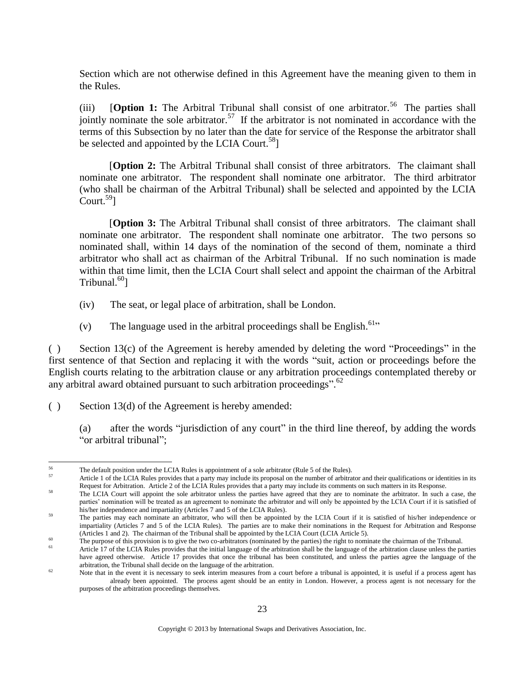Section which are not otherwise defined in this Agreement have the meaning given to them in the Rules.

(iii) **[Option 1:** The Arbitral Tribunal shall consist of one arbitrator.<sup>56</sup> The parties shall jointly nominate the sole arbitrator.<sup>57</sup> If the arbitrator is not nominated in accordance with the terms of this Subsection by no later than the date for service of the Response the arbitrator shall be selected and appointed by the LCIA Court.<sup>58</sup>]

[**Option 2:** The Arbitral Tribunal shall consist of three arbitrators. The claimant shall nominate one arbitrator. The respondent shall nominate one arbitrator. The third arbitrator (who shall be chairman of the Arbitral Tribunal) shall be selected and appointed by the LCIA Court.<sup>59</sup>]

[**Option 3:** The Arbitral Tribunal shall consist of three arbitrators. The claimant shall nominate one arbitrator. The respondent shall nominate one arbitrator. The two persons so nominated shall, within 14 days of the nomination of the second of them, nominate a third arbitrator who shall act as chairman of the Arbitral Tribunal. If no such nomination is made within that time limit, then the LCIA Court shall select and appoint the chairman of the Arbitral Tribunal. $^{60}$ ]

- (iv) The seat, or legal place of arbitration, shall be London.
- (v) The language used in the arbitral proceedings shall be English.<sup>61</sup>"

( ) Section 13(c) of the Agreement is hereby amended by deleting the word "Proceedings" in the first sentence of that Section and replacing it with the words "suit, action or proceedings before the English courts relating to the arbitration clause or any arbitration proceedings contemplated thereby or any arbitral award obtained pursuant to such arbitration proceedings".<sup>62</sup>

( ) Section 13(d) of the Agreement is hereby amended:

(a) after the words "jurisdiction of any court" in the third line thereof, by adding the words "or arbitral tribunal";

<sup>56</sup> <sup>56</sup> The default position under the LCIA Rules is appointment of a sole arbitrator (Rule 5 of the Rules).<br> $\frac{57}{4}$  Article 1 of the LCIA Rules agent he that a nature include its aggregate at the number of ratitude

Article 1 of the LCIA Rules provides that a party may include its proposal on the number of arbitrator and their qualifications or identities in its Request for Arbitration. Article 2 of the LCIA Rules provides that a party may include its comments on such matters in its Response.

<sup>&</sup>lt;sup>58</sup> The LCIA Court will appoint the sole arbitrator unless the parties have agreed that they are to nominate the arbitrator. In such a case, the parties' nomination will be treated as an agreement to nominate the arbitrator and will only be appointed by the LCIA Court if it is satisfied of his/her independence and impartiality (Articles 7 and 5 of the LCIA Rules).

<sup>&</sup>lt;sup>59</sup> The parties may each nominate an arbitrator, who will then be appointed by the LCIA Court if it is satisfied of his/her independence or impartiality (Articles 7 and 5 of the LCIA Rules). The parties are to make their nominations in the Request for Arbitration and Response (Articles 1 and 2). The chairman of the Tribunal shall be appointed by the LCIA Court (LCIA Article 5).

<sup>&</sup>lt;sup>60</sup> The purpose of this provision is to give the two co-arbitrators (nominated by the parties) the right to nominate the chairman of the Tribunal.

Article 17 of the LCIA Rules provides that the initial language of the arbitration shall be the language of the arbitration clause unless the parties have agreed otherwise. Article 17 provides that once the tribunal has been constituted, and unless the parties agree the language of the arbitration, the Tribunal shall decide on the language of the arbitration.

<sup>&</sup>lt;sup>62</sup> Note that in the event it is necessary to seek interim measures from a court before a tribunal is appointed, it is useful if a process agent has already been appointed. The process agent should be an entity in London. However, a process agent is not necessary for the purposes of the arbitration proceedings themselves.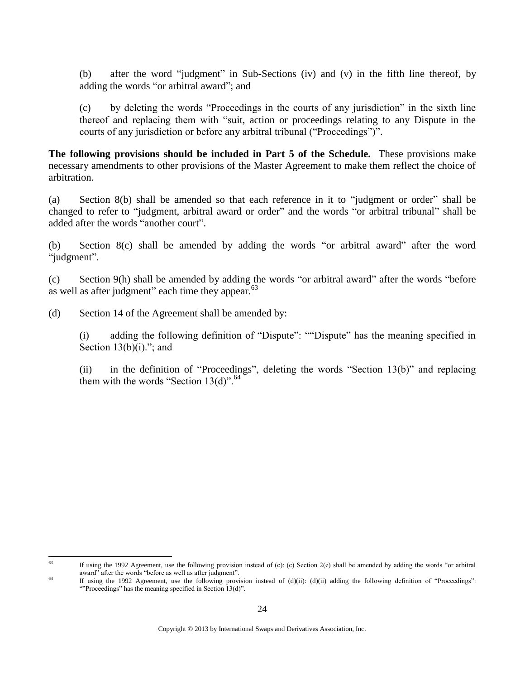(b) after the word "judgment" in Sub-Sections (iv) and (v) in the fifth line thereof, by adding the words "or arbitral award"; and

(c) by deleting the words "Proceedings in the courts of any jurisdiction" in the sixth line thereof and replacing them with "suit, action or proceedings relating to any Dispute in the courts of any jurisdiction or before any arbitral tribunal ("Proceedings")".

**The following provisions should be included in Part 5 of the Schedule.** These provisions make necessary amendments to other provisions of the Master Agreement to make them reflect the choice of arbitration.

(a) Section 8(b) shall be amended so that each reference in it to "judgment or order" shall be changed to refer to "judgment, arbitral award or order" and the words "or arbitral tribunal" shall be added after the words "another court".

(b) Section 8(c) shall be amended by adding the words "or arbitral award" after the word "judgment".

(c) Section 9(h) shall be amended by adding the words "or arbitral award" after the words "before as well as after judgment" each time they appear.<sup>63</sup>

(d) Section 14 of the Agreement shall be amended by:

l

(i) adding the following definition of "Dispute": ""Dispute" has the meaning specified in Section  $13(b)(i)$ ."; and

(ii) in the definition of "Proceedings", deleting the words "Section 13(b)" and replacing them with the words "Section  $13(d)$ ".<sup>64</sup>

<sup>&</sup>lt;sup>63</sup> If using the 1992 Agreement, use the following provision instead of (c): (c) Section 2(e) shall be amended by adding the words "or arbitral award" after the words "before as well as after judgment".

<sup>64</sup> If using the 1992 Agreement, use the following provision instead of (d)(ii): (d)(ii) adding the following definition of "Proceedings": ""Proceedings" has the meaning specified in Section 13(d)".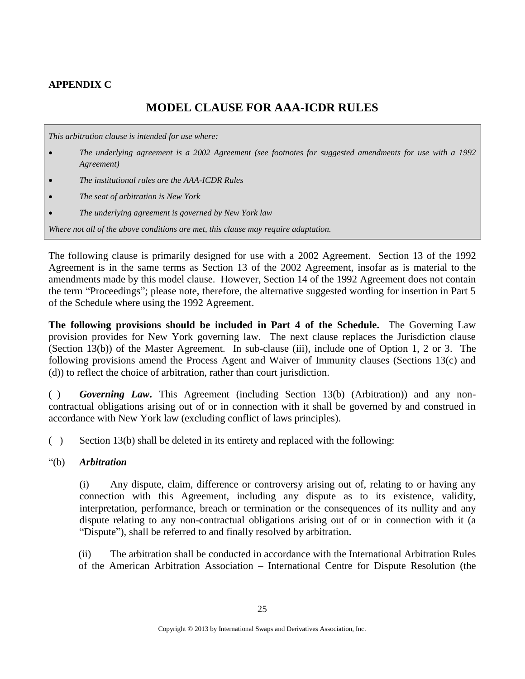## **APPENDIX C**

# **MODEL CLAUSE FOR AAA-ICDR RULES**

*This arbitration clause is intended for use where:*

- *The underlying agreement is a 2002 Agreement (see footnotes for suggested amendments for use with a 1992 Agreement)*
- *The institutional rules are the AAA-ICDR Rules*
- *The seat of arbitration is New York*
- *The underlying agreement is governed by New York law*

*Where not all of the above conditions are met, this clause may require adaptation.*

The following clause is primarily designed for use with a 2002 Agreement. Section 13 of the 1992 Agreement is in the same terms as Section 13 of the 2002 Agreement, insofar as is material to the amendments made by this model clause. However, Section 14 of the 1992 Agreement does not contain the term "Proceedings"; please note, therefore, the alternative suggested wording for insertion in Part 5 of the Schedule where using the 1992 Agreement.

**The following provisions should be included in Part 4 of the Schedule.** The Governing Law provision provides for New York governing law. The next clause replaces the Jurisdiction clause (Section 13(b)) of the Master Agreement. In sub-clause (iii), include one of Option 1, 2 or 3. The following provisions amend the Process Agent and Waiver of Immunity clauses (Sections 13(c) and (d)) to reflect the choice of arbitration, rather than court jurisdiction.

( ) *Governing Law***.** This Agreement (including Section 13(b) (Arbitration)) and any noncontractual obligations arising out of or in connection with it shall be governed by and construed in accordance with New York law (excluding conflict of laws principles).

 $($ ) Section 13(b) shall be deleted in its entirety and replaced with the following:

## "(b) *Arbitration*

(i) Any dispute, claim, difference or controversy arising out of, relating to or having any connection with this Agreement, including any dispute as to its existence, validity, interpretation, performance, breach or termination or the consequences of its nullity and any dispute relating to any non-contractual obligations arising out of or in connection with it (a "Dispute"), shall be referred to and finally resolved by arbitration.

(ii) The arbitration shall be conducted in accordance with the International Arbitration Rules of the American Arbitration Association – International Centre for Dispute Resolution (the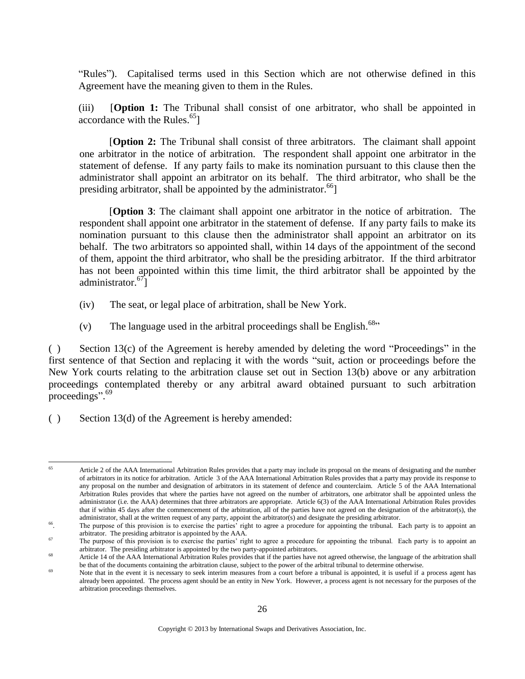"Rules"). Capitalised terms used in this Section which are not otherwise defined in this Agreement have the meaning given to them in the Rules.

(iii) [**Option 1:** The Tribunal shall consist of one arbitrator, who shall be appointed in accordance with the Rules. <sup>65</sup>]

[**Option 2:** The Tribunal shall consist of three arbitrators. The claimant shall appoint one arbitrator in the notice of arbitration. The respondent shall appoint one arbitrator in the statement of defense. If any party fails to make its nomination pursuant to this clause then the administrator shall appoint an arbitrator on its behalf. The third arbitrator, who shall be the presiding arbitrator, shall be appointed by the administrator.<sup>66</sup>]

[**Option 3**: The claimant shall appoint one arbitrator in the notice of arbitration. The respondent shall appoint one arbitrator in the statement of defense. If any party fails to make its nomination pursuant to this clause then the administrator shall appoint an arbitrator on its behalf. The two arbitrators so appointed shall, within 14 days of the appointment of the second of them, appoint the third arbitrator, who shall be the presiding arbitrator. If the third arbitrator has not been appointed within this time limit, the third arbitrator shall be appointed by the administrator.<sup>67</sup>]

- (iv) The seat, or legal place of arbitration, shall be New York.
- (v) The language used in the arbitral proceedings shall be English.<sup>68</sup>"

( ) Section 13(c) of the Agreement is hereby amended by deleting the word "Proceedings" in the first sentence of that Section and replacing it with the words "suit, action or proceedings before the New York courts relating to the arbitration clause set out in Section 13(b) above or any arbitration proceedings contemplated thereby or any arbitral award obtained pursuant to such arbitration proceedings".<sup>69</sup>

( $\prime$ ) Section 13(d) of the Agreement is hereby amended:

<sup>65</sup> Article 2 of the AAA International Arbitration Rules provides that a party may include its proposal on the means of designating and the number of arbitrators in its notice for arbitration. Article 3 of the AAA International Arbitration Rules provides that a party may provide its response to any proposal on the number and designation of arbitrators in its statement of defence and counterclaim. Article 5 of the AAA International Arbitration Rules provides that where the parties have not agreed on the number of arbitrators, one arbitrator shall be appointed unless the administrator (i.e. the AAA) determines that three arbitrators are appropriate. Article 6(3) of the AAA International Arbitration Rules provides that if within 45 days after the commencement of the arbitration, all of the parties have not agreed on the designation of the arbitrator(s), the administrator, shall at the written request of any party, appoint the arbitrator(s) and designate the presiding arbitrator.

<sup>66</sup> . The purpose of this provision is to exercise the parties' right to agree a procedure for appointing the tribunal. Each party is to appoint an arbitrator. The presiding arbitrator is appointed by the AAA.

 $\epsilon$ <sup>67</sup> The purpose of this provision is to exercise the parties' right to agree a procedure for appointing the tribunal. Each party is to appoint an arbitrator. The presiding arbitrator is appointed by the two party-appointed arbitrators.

Article 14 of the AAA International Arbitration Rules provides that if the parties have not agreed otherwise, the language of the arbitration shall be that of the documents containing the arbitration clause, subject to the power of the arbitral tribunal to determine otherwise.

<sup>&</sup>lt;sup>69</sup> Note that in the event it is necessary to seek interim measures from a court before a tribunal is appointed, it is useful if a process agent has already been appointed. The process agent should be an entity in New York. However, a process agent is not necessary for the purposes of the arbitration proceedings themselves.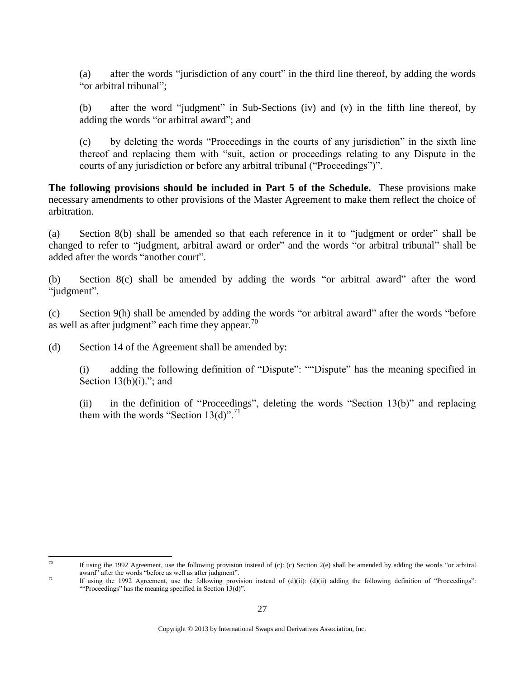(a) after the words "jurisdiction of any court" in the third line thereof, by adding the words "or arbitral tribunal";

(b) after the word "judgment" in Sub-Sections (iv) and (v) in the fifth line thereof, by adding the words "or arbitral award"; and

(c) by deleting the words "Proceedings in the courts of any jurisdiction" in the sixth line thereof and replacing them with "suit, action or proceedings relating to any Dispute in the courts of any jurisdiction or before any arbitral tribunal ("Proceedings")".

**The following provisions should be included in Part 5 of the Schedule.** These provisions make necessary amendments to other provisions of the Master Agreement to make them reflect the choice of arbitration.

(a) Section 8(b) shall be amended so that each reference in it to "judgment or order" shall be changed to refer to "judgment, arbitral award or order" and the words "or arbitral tribunal" shall be added after the words "another court".

(b) Section 8(c) shall be amended by adding the words "or arbitral award" after the word "judgment".

(c) Section 9(h) shall be amended by adding the words "or arbitral award" after the words "before as well as after judgment" each time they appear. $^{70}$ 

(d) Section 14 of the Agreement shall be amended by:

(i) adding the following definition of "Dispute": ""Dispute" has the meaning specified in Section  $13(b)(i)$ ."; and

(ii) in the definition of "Proceedings", deleting the words "Section 13(b)" and replacing them with the words "Section  $13(d)$ ".<sup>71</sup>

 $70\,$ If using the 1992 Agreement, use the following provision instead of (c): (c) Section 2(e) shall be amended by adding the words "or arbitral award" after the words "before as well as after judgment".

 $\frac{71}{100}$  If using the 1992 Agreement, use the following provision instead of (d)(ii): (d)(ii) adding the following definition of "Proceedings": ""Proceedings" has the meaning specified in Section 13(d)".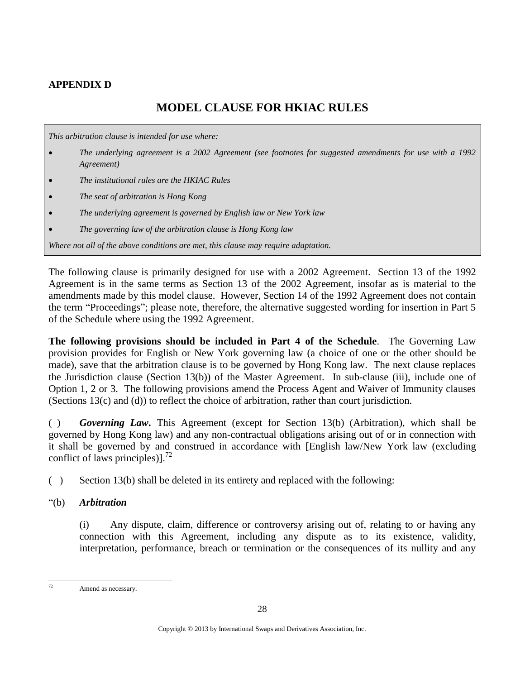## **APPENDIX D**

# **MODEL CLAUSE FOR HKIAC RULES**

*This arbitration clause is intended for use where:*

- *The underlying agreement is a 2002 Agreement (see footnotes for suggested amendments for use with a 1992 Agreement)*
- *The institutional rules are the HKIAC Rules*
- *The seat of arbitration is Hong Kong*
- *The underlying agreement is governed by English law or New York law*
- *The governing law of the arbitration clause is Hong Kong law*

*Where not all of the above conditions are met, this clause may require adaptation.*

The following clause is primarily designed for use with a 2002 Agreement. Section 13 of the 1992 Agreement is in the same terms as Section 13 of the 2002 Agreement, insofar as is material to the amendments made by this model clause. However, Section 14 of the 1992 Agreement does not contain the term "Proceedings"; please note, therefore, the alternative suggested wording for insertion in Part 5 of the Schedule where using the 1992 Agreement.

**The following provisions should be included in Part 4 of the Schedule**. The Governing Law provision provides for English or New York governing law (a choice of one or the other should be made), save that the arbitration clause is to be governed by Hong Kong law. The next clause replaces the Jurisdiction clause (Section 13(b)) of the Master Agreement. In sub-clause (iii), include one of Option 1, 2 or 3. The following provisions amend the Process Agent and Waiver of Immunity clauses (Sections 13(c) and (d)) to reflect the choice of arbitration, rather than court jurisdiction.

( ) *Governing Law***.** This Agreement (except for Section 13(b) (Arbitration), which shall be governed by Hong Kong law) and any non-contractual obligations arising out of or in connection with it shall be governed by and construed in accordance with [English law/New York law (excluding conflict of laws principles)]. $^{72}$ 

( ) Section 13(b) shall be deleted in its entirety and replaced with the following:

## "(b) *Arbitration*

(i) Any dispute, claim, difference or controversy arising out of, relating to or having any connection with this Agreement, including any dispute as to its existence, validity, interpretation, performance, breach or termination or the consequences of its nullity and any

 $72.$ Amend as necessary.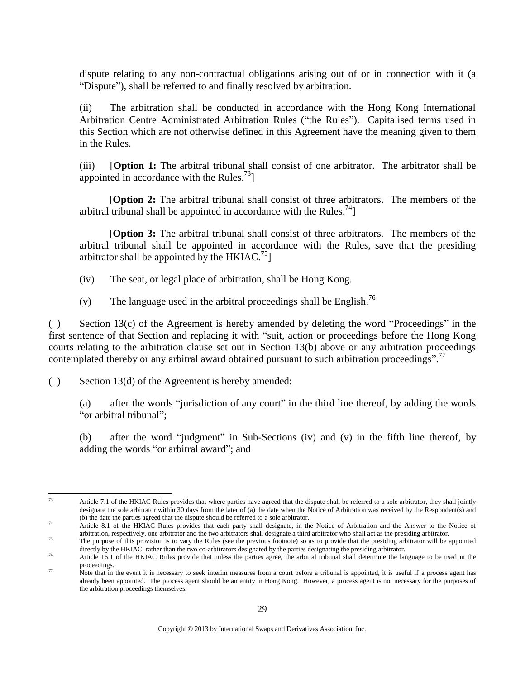dispute relating to any non-contractual obligations arising out of or in connection with it (a "Dispute"), shall be referred to and finally resolved by arbitration.

(ii) The arbitration shall be conducted in accordance with the Hong Kong International Arbitration Centre Administrated Arbitration Rules ("the Rules"). Capitalised terms used in this Section which are not otherwise defined in this Agreement have the meaning given to them in the Rules.

(iii) [**Option 1:** The arbitral tribunal shall consist of one arbitrator. The arbitrator shall be appointed in accordance with the Rules.<sup>73</sup>]

[**Option 2:** The arbitral tribunal shall consist of three arbitrators. The members of the arbitral tribunal shall be appointed in accordance with the Rules.<sup>74</sup>]

[**Option 3:** The arbitral tribunal shall consist of three arbitrators. The members of the arbitral tribunal shall be appointed in accordance with the Rules, save that the presiding arbitrator shall be appointed by the HKIAC.<sup>75</sup>]

- (iv) The seat, or legal place of arbitration, shall be Hong Kong.
- (v) The language used in the arbitral proceedings shall be English.<sup>76</sup>

( ) Section 13(c) of the Agreement is hereby amended by deleting the word "Proceedings" in the first sentence of that Section and replacing it with "suit, action or proceedings before the Hong Kong courts relating to the arbitration clause set out in Section 13(b) above or any arbitration proceedings contemplated thereby or any arbitral award obtained pursuant to such arbitration proceedings".<sup>77</sup>

( ) Section 13(d) of the Agreement is hereby amended:

(a) after the words "jurisdiction of any court" in the third line thereof, by adding the words "or arbitral tribunal";

(b) after the word "judgment" in Sub-Sections (iv) and (v) in the fifth line thereof, by adding the words "or arbitral award"; and

 $73$ 

Article 7.1 of the HKIAC Rules provides that where parties have agreed that the dispute shall be referred to a sole arbitrator, they shall jointly designate the sole arbitrator within 30 days from the later of (a) the date when the Notice of Arbitration was received by the Respondent(s) and (b) the date the parties agreed that the dispute should be referred to a sole arbitrator.

<sup>74</sup> Article 8.1 of the HKIAC Rules provides that each party shall designate, in the Notice of Arbitration and the Answer to the Notice of arbitration, respectively, one arbitrator and the two arbitrators shall designate a third arbitrator who shall act as the presiding arbitrator.

The purpose of this provision is to vary the Rules (see the previous footnote) so as to provide that the presiding arbitrator will be appointed directly by the HKIAC, rather than the two co-arbitrators designated by the parties designating the presiding arbitrator.

<sup>&</sup>lt;sup>76</sup> Article 16.1 of the HKIAC Rules provide that unless the parties agree, the arbitral tribunal shall determine the language to be used in the proceedings.

 $\frac{77}{100}$  Note that in the event it is necessary to seek interim measures from a court before a tribunal is appointed, it is useful if a process agent has already been appointed. The process agent should be an entity in Hong Kong. However, a process agent is not necessary for the purposes of the arbitration proceedings themselves.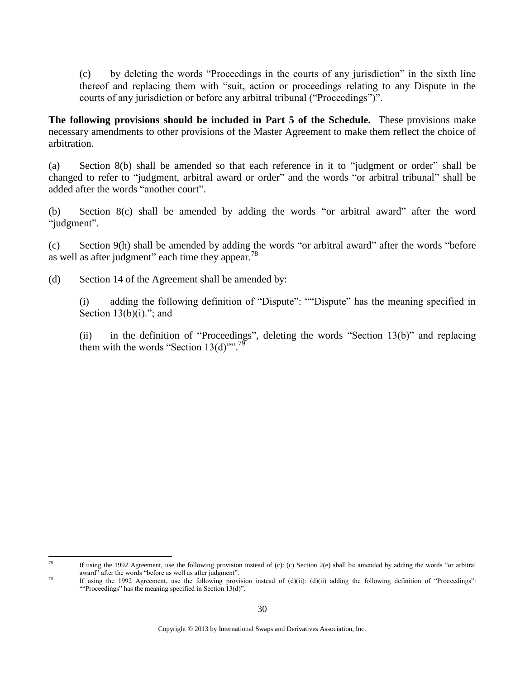(c) by deleting the words "Proceedings in the courts of any jurisdiction" in the sixth line thereof and replacing them with "suit, action or proceedings relating to any Dispute in the courts of any jurisdiction or before any arbitral tribunal ("Proceedings")".

**The following provisions should be included in Part 5 of the Schedule.** These provisions make necessary amendments to other provisions of the Master Agreement to make them reflect the choice of arbitration.

(a) Section 8(b) shall be amended so that each reference in it to "judgment or order" shall be changed to refer to "judgment, arbitral award or order" and the words "or arbitral tribunal" shall be added after the words "another court".

(b) Section 8(c) shall be amended by adding the words "or arbitral award" after the word "judgment".

(c) Section 9(h) shall be amended by adding the words "or arbitral award" after the words "before as well as after judgment" each time they appear. $^{78}$ 

(d) Section 14 of the Agreement shall be amended by:

(i) adding the following definition of "Dispute": ""Dispute" has the meaning specified in Section  $13(b)(i)$ ."; and

(ii) in the definition of "Proceedings", deleting the words "Section 13(b)" and replacing them with the words "Section  $13(d)$ "".<sup>79</sup>

 $78\,$ If using the 1992 Agreement, use the following provision instead of (c): (c) Section 2(e) shall be amended by adding the words "or arbitral award" after the words "before as well as after judgment".

<sup>&</sup>lt;sup>79</sup> If using the 1992 Agreement, use the following provision instead of (d)(ii): (d)(ii) adding the following definition of "Proceedings": ""Proceedings" has the meaning specified in Section 13(d)".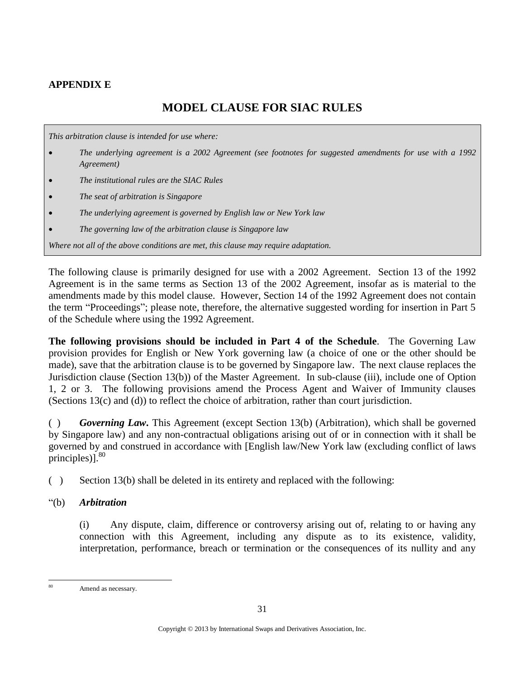## **APPENDIX E**

# **MODEL CLAUSE FOR SIAC RULES**

*This arbitration clause is intended for use where:*

- *The underlying agreement is a 2002 Agreement (see footnotes for suggested amendments for use with a 1992 Agreement)*
- *The institutional rules are the SIAC Rules*
- *The seat of arbitration is Singapore*
- *The underlying agreement is governed by English law or New York law*
- *The governing law of the arbitration clause is Singapore law*

*Where not all of the above conditions are met, this clause may require adaptation.*

The following clause is primarily designed for use with a 2002 Agreement. Section 13 of the 1992 Agreement is in the same terms as Section 13 of the 2002 Agreement, insofar as is material to the amendments made by this model clause. However, Section 14 of the 1992 Agreement does not contain the term "Proceedings"; please note, therefore, the alternative suggested wording for insertion in Part 5 of the Schedule where using the 1992 Agreement.

**The following provisions should be included in Part 4 of the Schedule**. The Governing Law provision provides for English or New York governing law (a choice of one or the other should be made), save that the arbitration clause is to be governed by Singapore law. The next clause replaces the Jurisdiction clause (Section 13(b)) of the Master Agreement. In sub-clause (iii), include one of Option 1, 2 or 3. The following provisions amend the Process Agent and Waiver of Immunity clauses (Sections 13(c) and (d)) to reflect the choice of arbitration, rather than court jurisdiction.

( ) *Governing Law***.** This Agreement (except Section 13(b) (Arbitration), which shall be governed by Singapore law) and any non-contractual obligations arising out of or in connection with it shall be governed by and construed in accordance with [English law/New York law (excluding conflict of laws  $\text{principles}$ ].  $\frac{80}{3}$ 

( ) Section 13(b) shall be deleted in its entirety and replaced with the following:

## "(b) *Arbitration*

(i) Any dispute, claim, difference or controversy arising out of, relating to or having any connection with this Agreement, including any dispute as to its existence, validity, interpretation, performance, breach or termination or the consequences of its nullity and any

<sup>80</sup> Amend as necessary.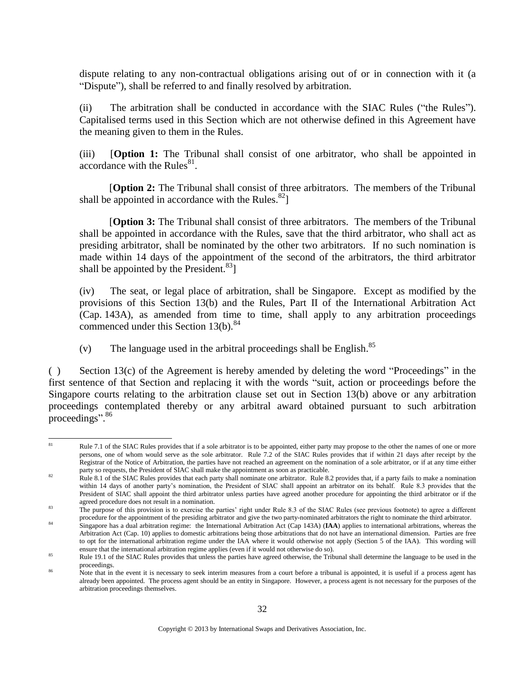dispute relating to any non-contractual obligations arising out of or in connection with it (a "Dispute"), shall be referred to and finally resolved by arbitration.

(ii) The arbitration shall be conducted in accordance with the SIAC Rules ("the Rules"). Capitalised terms used in this Section which are not otherwise defined in this Agreement have the meaning given to them in the Rules.

(iii) [**Option 1:** The Tribunal shall consist of one arbitrator, who shall be appointed in  $\alpha$ ccordance with the Rules $^{81}$ .

[**Option 2:** The Tribunal shall consist of three arbitrators. The members of the Tribunal shall be appointed in accordance with the Rules. $^{82}$ ]

[**Option 3:** The Tribunal shall consist of three arbitrators. The members of the Tribunal shall be appointed in accordance with the Rules, save that the third arbitrator, who shall act as presiding arbitrator, shall be nominated by the other two arbitrators. If no such nomination is made within 14 days of the appointment of the second of the arbitrators, the third arbitrator shall be appointed by the President. $83$ ]

(iv) The seat, or legal place of arbitration, shall be Singapore. Except as modified by the provisions of this Section 13(b) and the Rules, Part II of the International Arbitration Act (Cap. 143A), as amended from time to time, shall apply to any arbitration proceedings commenced under this Section  $13(b)$ .<sup>84</sup>

(v) The language used in the arbitral proceedings shall be English. $^{85}$ 

l

( ) Section 13(c) of the Agreement is hereby amended by deleting the word "Proceedings" in the first sentence of that Section and replacing it with the words "suit, action or proceedings before the Singapore courts relating to the arbitration clause set out in Section 13(b) above or any arbitration proceedings contemplated thereby or any arbitral award obtained pursuant to such arbitration proceedings".<sup>86</sup>

<sup>&</sup>lt;sup>81</sup> Rule 7.1 of the SIAC Rules provides that if a sole arbitrator is to be appointed, either party may propose to the other the names of one or more persons, one of whom would serve as the sole arbitrator. Rule 7.2 of the SIAC Rules provides that if within 21 days after receipt by the Registrar of the Notice of Arbitration, the parties have not reached an agreement on the nomination of a sole arbitrator, or if at any time either party so requests, the President of SIAC shall make the appointment as soon as practicable.

<sup>&</sup>lt;sup>82</sup> Rule 8.1 of the SIAC Rules provides that each party shall nominate one arbitrator. Rule 8.2 provides that, if a party fails to make a nomination within 14 days of another party's nomination, the President of SIAC shall appoint an arbitrator on its behalf. Rule 8.3 provides that the President of SIAC shall appoint the third arbitrator unless parties have agreed another procedure for appointing the third arbitrator or if the agreed procedure does not result in a nomination.

<sup>&</sup>lt;sup>83</sup> The purpose of this provision is to exercise the parties' right under Rule 8.3 of the SIAC Rules (see previous footnote) to agree a different procedure for the appointment of the presiding arbitrator and give the two party-nominated arbitrators the right to nominate the third arbitrator.

<sup>&</sup>lt;sup>84</sup><br>Singapore has a dual arbitration regime: the International Arbitration Act (Cap 143A) (IAA) applies to international arbitrations, whereas the Arbitration Act (Cap. 10) applies to domestic arbitrations being those arbitrations that do not have an international dimension. Parties are free to opt for the international arbitration regime under the IAA where it would otherwise not apply (Section 5 of the IAA). This wording will ensure that the international arbitration regime applies (even if it would not otherwise do so).

<sup>85</sup> Rule 19.1 of the SIAC Rules provides that unless the parties have agreed otherwise, the Tribunal shall determine the language to be used in the proceedings.

<sup>&</sup>lt;sup>86</sup> Note that in the event it is necessary to seek interim measures from a court before a tribunal is appointed, it is useful if a process agent has already been appointed. The process agent should be an entity in Singapore. However, a process agent is not necessary for the purposes of the arbitration proceedings themselves.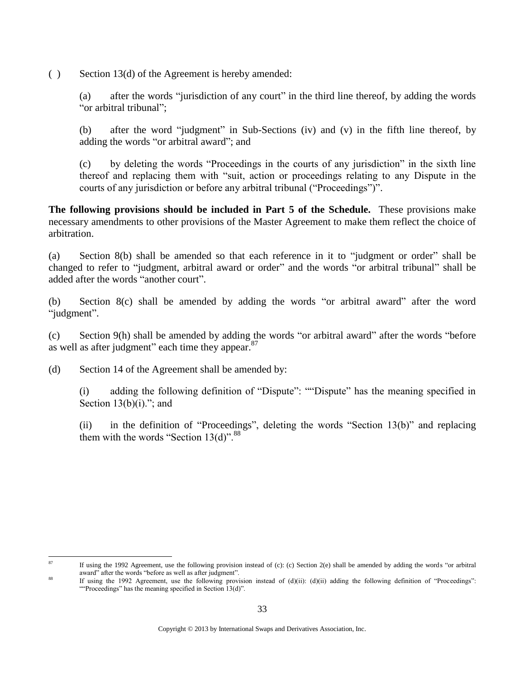( $\prime$ ) Section 13(d) of the Agreement is hereby amended:

(a) after the words "jurisdiction of any court" in the third line thereof, by adding the words "or arbitral tribunal";

(b) after the word "judgment" in Sub-Sections (iv) and (v) in the fifth line thereof, by adding the words "or arbitral award"; and

(c) by deleting the words "Proceedings in the courts of any jurisdiction" in the sixth line thereof and replacing them with "suit, action or proceedings relating to any Dispute in the courts of any jurisdiction or before any arbitral tribunal ("Proceedings")".

**The following provisions should be included in Part 5 of the Schedule.** These provisions make necessary amendments to other provisions of the Master Agreement to make them reflect the choice of arbitration.

(a) Section 8(b) shall be amended so that each reference in it to "judgment or order" shall be changed to refer to "judgment, arbitral award or order" and the words "or arbitral tribunal" shall be added after the words "another court".

(b) Section 8(c) shall be amended by adding the words "or arbitral award" after the word "judgment".

(c) Section 9(h) shall be amended by adding the words "or arbitral award" after the words "before as well as after judgment" each time they appear.<sup>87</sup>

(d) Section 14 of the Agreement shall be amended by:

(i) adding the following definition of "Dispute": ""Dispute" has the meaning specified in Section  $13(b)(i)$ ."; and

(ii) in the definition of "Proceedings", deleting the words "Section 13(b)" and replacing them with the words "Section  $13(d)$ ".<sup>88</sup>

<sup>87</sup> <sup>87</sup> If using the 1992 Agreement, use the following provision instead of (c): (c) Section 2(e) shall be amended by adding the words "or arbitral award" after the words "before as well as after judgment".

<sup>88</sup> If using the 1992 Agreement, use the following provision instead of (d)(ii): (d)(ii) adding the following definition of "Proceedings": ""Proceedings" has the meaning specified in Section 13(d)".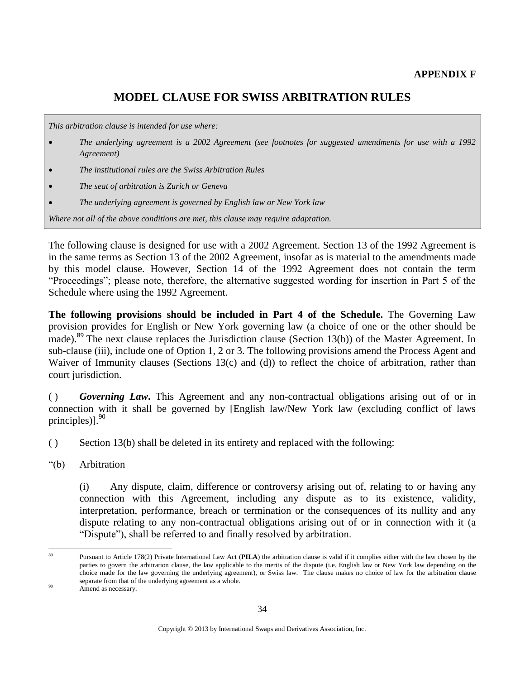## **MODEL CLAUSE FOR SWISS ARBITRATION RULES**

*This arbitration clause is intended for use where:*

- *The underlying agreement is a 2002 Agreement (see footnotes for suggested amendments for use with a 1992 Agreement)*
- *The institutional rules are the Swiss Arbitration Rules*
- *The seat of arbitration is Zurich or Geneva*
- *The underlying agreement is governed by English law or New York law*

*Where not all of the above conditions are met, this clause may require adaptation.*

The following clause is designed for use with a 2002 Agreement. Section 13 of the 1992 Agreement is in the same terms as Section 13 of the 2002 Agreement, insofar as is material to the amendments made by this model clause. However, Section 14 of the 1992 Agreement does not contain the term "Proceedings"; please note, therefore, the alternative suggested wording for insertion in Part 5 of the Schedule where using the 1992 Agreement.

**The following provisions should be included in Part 4 of the Schedule.** The Governing Law provision provides for English or New York governing law (a choice of one or the other should be made).<sup>89</sup> The next clause replaces the Jurisdiction clause (Section 13(b)) of the Master Agreement. In sub-clause (iii), include one of Option 1, 2 or 3. The following provisions amend the Process Agent and Waiver of Immunity clauses (Sections 13(c) and (d)) to reflect the choice of arbitration, rather than court jurisdiction.

( ) *Governing Law***.** This Agreement and any non-contractual obligations arising out of or in connection with it shall be governed by [English law/New York law (excluding conflict of laws principles)].<sup>90</sup>

( ) Section 13(b) shall be deleted in its entirety and replaced with the following:

"(b) Arbitration

(i) Any dispute, claim, difference or controversy arising out of, relating to or having any connection with this Agreement, including any dispute as to its existence, validity, interpretation, performance, breach or termination or the consequences of its nullity and any dispute relating to any non-contractual obligations arising out of or in connection with it (a "Dispute"), shall be referred to and finally resolved by arbitration.

<sup>89</sup> <sup>89</sup> Pursuant to Article 178(2) Private International Law Act (**PILA**) the arbitration clause is valid if it complies either with the law chosen by the parties to govern the arbitration clause, the law applicable to the merits of the dispute (i.e. English law or New York law depending on the choice made for the law governing the underlying agreement), or Swiss law. The clause makes no choice of law for the arbitration clause separate from that of the underlying agreement as a whole.

<sup>90</sup> **Amend as necessary**.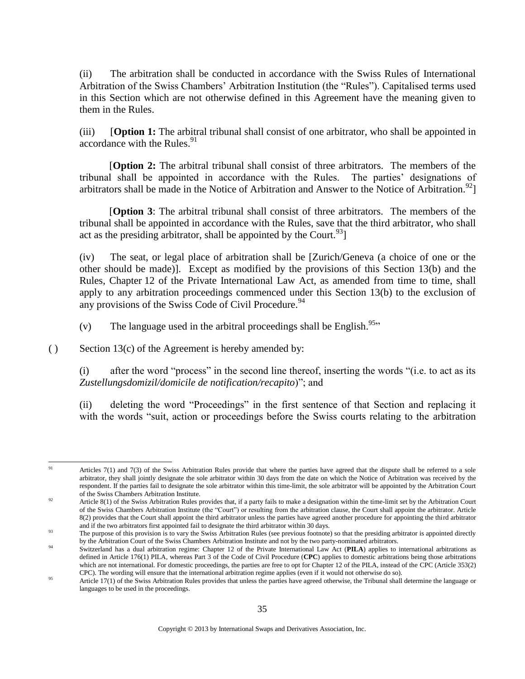(ii) The arbitration shall be conducted in accordance with the Swiss Rules of International Arbitration of the Swiss Chambers' Arbitration Institution (the "Rules"). Capitalised terms used in this Section which are not otherwise defined in this Agreement have the meaning given to them in the Rules.

(iii) [**Option 1:** The arbitral tribunal shall consist of one arbitrator, who shall be appointed in accordance with the Rules.<sup>91</sup>

[**Option 2:** The arbitral tribunal shall consist of three arbitrators. The members of the tribunal shall be appointed in accordance with the Rules. The parties' designations of arbitrators shall be made in the Notice of Arbitration and Answer to the Notice of Arbitration.<sup>92</sup>

[**Option 3**: The arbitral tribunal shall consist of three arbitrators. The members of the tribunal shall be appointed in accordance with the Rules, save that the third arbitrator, who shall act as the presiding arbitrator, shall be appointed by the Court.<sup>93</sup>]

(iv) The seat, or legal place of arbitration shall be [Zurich/Geneva (a choice of one or the other should be made)]. Except as modified by the provisions of this Section 13(b) and the Rules, Chapter 12 of the Private International Law Act, as amended from time to time, shall apply to any arbitration proceedings commenced under this Section 13(b) to the exclusion of any provisions of the Swiss Code of Civil Procedure.<sup>94</sup>

(v) The language used in the arbitral proceedings shall be English.<sup>95</sup>"

( ) Section 13(c) of the Agreement is hereby amended by:

(i) after the word "process" in the second line thereof, inserting the words "(i.e. to act as its *Zustellungsdomizil/domicile de notification/recapito*)"; and

(ii) deleting the word "Proceedings" in the first sentence of that Section and replacing it with the words "suit, action or proceedings before the Swiss courts relating to the arbitration

 $91$ Articles 7(1) and 7(3) of the Swiss Arbitration Rules provide that where the parties have agreed that the dispute shall be referred to a sole arbitrator, they shall jointly designate the sole arbitrator within 30 days from the date on which the Notice of Arbitration was received by the respondent. If the parties fail to designate the sole arbitrator within this time-limit, the sole arbitrator will be appointed by the Arbitration Court of the Swiss Chambers Arbitration Institute.

<sup>92</sup> Article 8(1) of the Swiss Arbitration Rules provides that, if a party fails to make a designation within the time-limit set by the Arbitration Court of the Swiss Chambers Arbitration Institute (the "Court") or resulting from the arbitration clause, the Court shall appoint the arbitrator. Article 8(2) provides that the Court shall appoint the third arbitrator unless the parties have agreed another procedure for appointing the third arbitrator and if the two arbitrators first appointed fail to designate the third arbitrator within 30 days.

<sup>&</sup>lt;sup>93</sup> The purpose of this provision is to vary the Swiss Arbitration Rules (see previous footnote) so that the presiding arbitrator is appointed directly by the Arbitration Court of the Swiss Chambers Arbitration Institute and not by the two party-nominated arbitrators.

<sup>94</sup> Switzerland has a dual arbitration regime: Chapter 12 of the Private International Law Act (**PILA**) applies to international arbitrations as defined in Article 176(1) PILA, whereas Part 3 of the Code of Civil Procedure (**CPC**) applies to domestic arbitrations being those arbitrations which are not international. For domestic proceedings, the parties are free to opt for Chapter 12 of the PILA, instead of the CPC (Article 353(2) CPC). The wording will ensure that the international arbitration regime applies (even if it would not otherwise do so).

<sup>&</sup>lt;sup>95</sup> Article 17(1) of the Swiss Arbitration Rules provides that unless the parties have agreed otherwise, the Tribunal shall determine the language or languages to be used in the proceedings.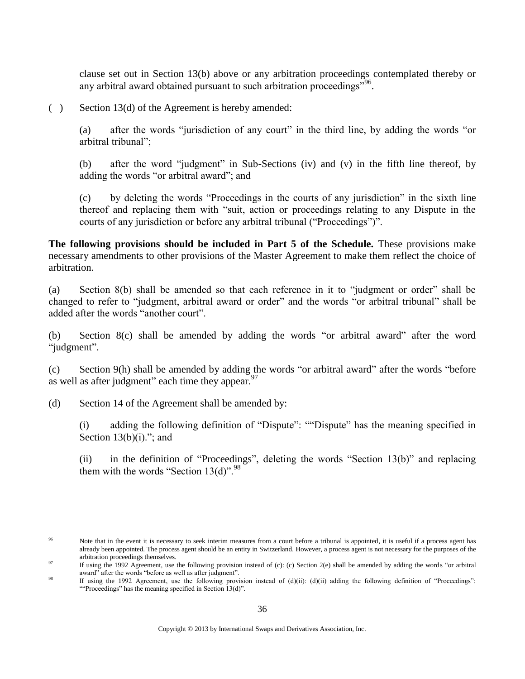clause set out in Section 13(b) above or any arbitration proceedings contemplated thereby or any arbitral award obtained pursuant to such arbitration proceedings"<sup>96</sup>.

( ) Section 13(d) of the Agreement is hereby amended:

(a) after the words "jurisdiction of any court" in the third line, by adding the words "or arbitral tribunal";

(b) after the word "judgment" in Sub-Sections (iv) and (v) in the fifth line thereof, by adding the words "or arbitral award"; and

(c) by deleting the words "Proceedings in the courts of any jurisdiction" in the sixth line thereof and replacing them with "suit, action or proceedings relating to any Dispute in the courts of any jurisdiction or before any arbitral tribunal ("Proceedings")".

**The following provisions should be included in Part 5 of the Schedule.** These provisions make necessary amendments to other provisions of the Master Agreement to make them reflect the choice of arbitration.

(a) Section 8(b) shall be amended so that each reference in it to "judgment or order" shall be changed to refer to "judgment, arbitral award or order" and the words "or arbitral tribunal" shall be added after the words "another court".

(b) Section 8(c) shall be amended by adding the words "or arbitral award" after the word "judgment".

(c) Section 9(h) shall be amended by adding the words "or arbitral award" after the words "before as well as after judgment" each time they appear.  $97$ 

(d) Section 14 of the Agreement shall be amended by:

(i) adding the following definition of "Dispute": ""Dispute" has the meaning specified in Section  $13(b)(i)$ ."; and

(ii) in the definition of "Proceedings", deleting the words "Section 13(b)" and replacing them with the words "Section  $13(d)$ ".<sup>98</sup>

 $\overline{\phantom{a}}$ <sup>96</sup> Note that in the event it is necessary to seek interim measures from a court before a tribunal is appointed, it is useful if a process agent has already been appointed. The process agent should be an entity in Switzerland. However, a process agent is not necessary for the purposes of the arbitration proceedings themselves.

<sup>&</sup>lt;sup>97</sup> If using the 1992 Agreement, use the following provision instead of (c): (c) Section 2(e) shall be amended by adding the words "or arbitral award" after the words "before as well as after judgment".

<sup>98</sup> If using the 1992 Agreement, use the following provision instead of (d)(ii): (d)(ii) adding the following definition of "Proceedings": ""Proceedings" has the meaning specified in Section 13(d)".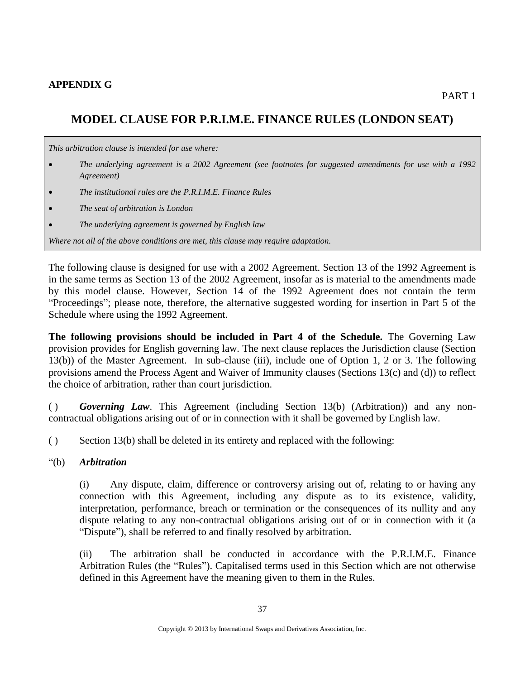## **APPENDIX G**

## **MODEL CLAUSE FOR P.R.I.M.E. FINANCE RULES (LONDON SEAT)**

*This arbitration clause is intended for use where:*

- *The underlying agreement is a 2002 Agreement (see footnotes for suggested amendments for use with a 1992 Agreement)*
- *The institutional rules are the P.R.I.M.E. Finance Rules*
- *The seat of arbitration is London*
- *The underlying agreement is governed by English law*

*Where not all of the above conditions are met, this clause may require adaptation.*

The following clause is designed for use with a 2002 Agreement. Section 13 of the 1992 Agreement is in the same terms as Section 13 of the 2002 Agreement, insofar as is material to the amendments made by this model clause. However, Section 14 of the 1992 Agreement does not contain the term "Proceedings"; please note, therefore, the alternative suggested wording for insertion in Part 5 of the Schedule where using the 1992 Agreement.

**The following provisions should be included in Part 4 of the Schedule.** The Governing Law provision provides for English governing law. The next clause replaces the Jurisdiction clause (Section 13(b)) of the Master Agreement. In sub-clause (iii), include one of Option 1, 2 or 3. The following provisions amend the Process Agent and Waiver of Immunity clauses (Sections 13(c) and (d)) to reflect the choice of arbitration, rather than court jurisdiction.

( ) *Governing Law*. This Agreement (including Section 13(b) (Arbitration)) and any noncontractual obligations arising out of or in connection with it shall be governed by English law.

 $($  ) Section 13(b) shall be deleted in its entirety and replaced with the following:

"(b) *Arbitration*

(i) Any dispute, claim, difference or controversy arising out of, relating to or having any connection with this Agreement, including any dispute as to its existence, validity, interpretation, performance, breach or termination or the consequences of its nullity and any dispute relating to any non-contractual obligations arising out of or in connection with it (a "Dispute"), shall be referred to and finally resolved by arbitration.

(ii) The arbitration shall be conducted in accordance with the P.R.I.M.E. Finance Arbitration Rules (the "Rules"). Capitalised terms used in this Section which are not otherwise defined in this Agreement have the meaning given to them in the Rules.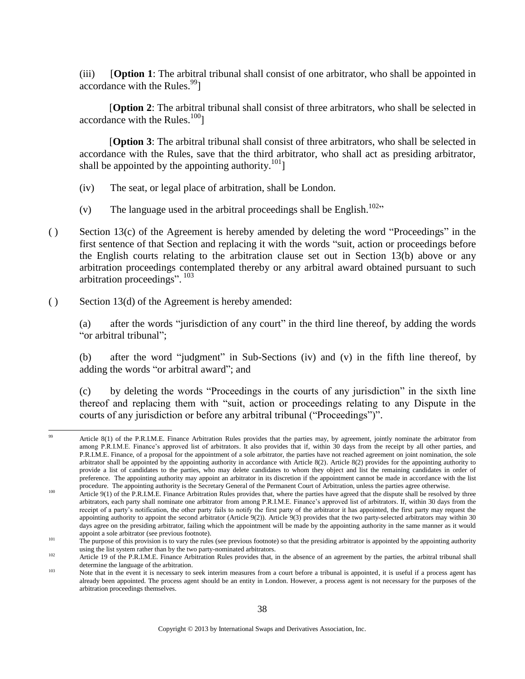(iii) [**Option 1**: The arbitral tribunal shall consist of one arbitrator, who shall be appointed in accordance with the Rules.<sup>99</sup>]

[**Option 2**: The arbitral tribunal shall consist of three arbitrators, who shall be selected in accordance with the Rules. $^{100}$ ]

[**Option 3**: The arbitral tribunal shall consist of three arbitrators, who shall be selected in accordance with the Rules, save that the third arbitrator, who shall act as presiding arbitrator, shall be appointed by the appointing authority.<sup>101</sup>]

- (iv) The seat, or legal place of arbitration, shall be London.
- (v) The language used in the arbitral proceedings shall be English.<sup>102</sup><sup>102</sup>
- ( ) Section 13(c) of the Agreement is hereby amended by deleting the word "Proceedings" in the first sentence of that Section and replacing it with the words "suit, action or proceedings before the English courts relating to the arbitration clause set out in Section 13(b) above or any arbitration proceedings contemplated thereby or any arbitral award obtained pursuant to such arbitration proceedings". 103
- ( ) Section 13(d) of the Agreement is hereby amended:

(a) after the words "jurisdiction of any court" in the third line thereof, by adding the words "or arbitral tribunal";

(b) after the word "judgment" in Sub-Sections (iv) and (v) in the fifth line thereof, by adding the words "or arbitral award"; and

(c) by deleting the words "Proceedings in the courts of any jurisdiction" in the sixth line thereof and replacing them with "suit, action or proceedings relating to any Dispute in the courts of any jurisdiction or before any arbitral tribunal ("Proceedings")".

<sup>99</sup> Article 8(1) of the P.R.I.M.E. Finance Arbitration Rules provides that the parties may, by agreement, jointly nominate the arbitrator from among P.R.I.M.E. Finance's approved list of arbitrators. It also provides that if, within 30 days from the receipt by all other parties, and P.R.I.M.E. Finance, of a proposal for the appointment of a sole arbitrator, the parties have not reached agreement on joint nomination, the sole arbitrator shall be appointed by the appointing authority in accordance with Article 8(2). Article 8(2) provides for the appointing authority to provide a list of candidates to the parties, who may delete candidates to whom they object and list the remaining candidates in order of preference. The appointing authority may appoint an arbitrator in its discretion if the appointment cannot be made in accordance with the list procedure. The appointing authority is the Secretary General of the Permanent Court of Arbitration, unless the parties agree otherwise.

<sup>100</sup> Article 9(1) of the P.R.I.M.E. Finance Arbitration Rules provides that, where the parties have agreed that the dispute shall be resolved by three arbitrators, each party shall nominate one arbitrator from among P.R.I.M.E. Finance's approved list of arbitrators. If, within 30 days from the receipt of a party's notification, the other party fails to notify the first party of the arbitrator it has appointed, the first party may request the appointing authority to appoint the second arbitrator (Article 9(2)). Article 9(3) provides that the two party-selected arbitrators may within 30 days agree on the presiding arbitrator, failing which the appointment will be made by the appointing authority in the same manner as it would appoint a sole arbitrator (see previous footnote).

 $101$  The purpose of this provision is to vary the rules (see previous footnote) so that the presiding arbitrator is appointed by the appointing authority using the list system rather than by the two party-nominated arbitrators.

<sup>102&</sup>lt;br>Article 19 of the P.R.I.M.E. Finance Arbitration Rules provides that, in the absence of an agreement by the parties, the arbitral tribunal shall determine the language of the arbitration.

<sup>103</sup> Note that in the event it is necessary to seek interim measures from a court before a tribunal is appointed, it is useful if a process agent has already been appointed. The process agent should be an entity in London. However, a process agent is not necessary for the purposes of the arbitration proceedings themselves.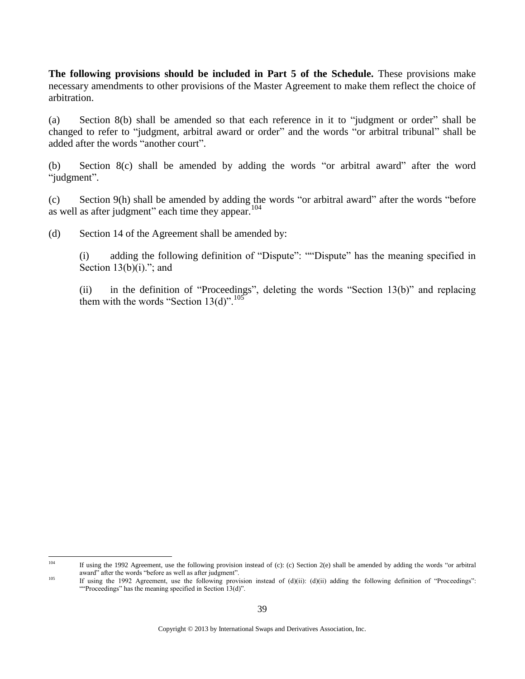**The following provisions should be included in Part 5 of the Schedule.** These provisions make necessary amendments to other provisions of the Master Agreement to make them reflect the choice of arbitration.

(a) Section 8(b) shall be amended so that each reference in it to "judgment or order" shall be changed to refer to "judgment, arbitral award or order" and the words "or arbitral tribunal" shall be added after the words "another court".

(b) Section 8(c) shall be amended by adding the words "or arbitral award" after the word "judgment".

(c) Section 9(h) shall be amended by adding the words "or arbitral award" after the words "before as well as after judgment" each time they appear. $104$ 

(d) Section 14 of the Agreement shall be amended by:

(i) adding the following definition of "Dispute": ""Dispute" has the meaning specified in Section  $13(b)(i)$ ."; and

(ii) in the definition of "Proceedings", deleting the words "Section 13(b)" and replacing them with the words "Section  $13(d)$ ".<sup>105</sup>

<sup>104</sup> <sup>104</sup> If using the 1992 Agreement, use the following provision instead of (c): (c) Section 2(e) shall be amended by adding the words "or arbitral award" after the words "before as well as after judgment".

<sup>105</sup> If using the 1992 Agreement, use the following provision instead of (d)(ii): (d)(ii) adding the following definition of "Proceedings": ""Proceedings" has the meaning specified in Section 13(d)".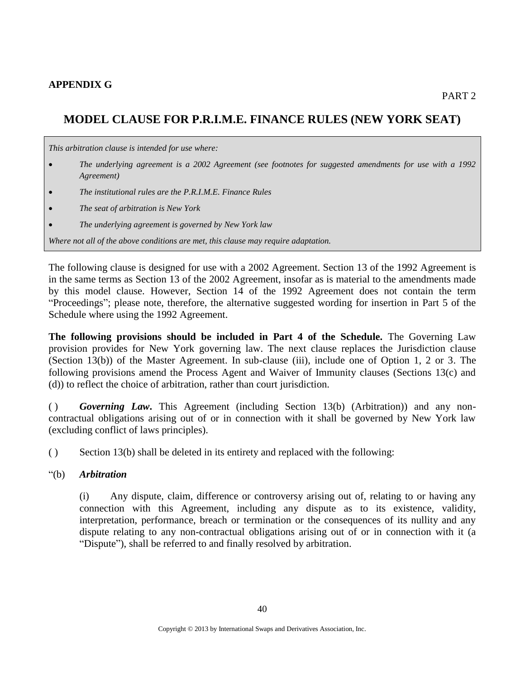## **APPENDIX G**

## **MODEL CLAUSE FOR P.R.I.M.E. FINANCE RULES (NEW YORK SEAT)**

*This arbitration clause is intended for use where:*

- *The underlying agreement is a 2002 Agreement (see footnotes for suggested amendments for use with a 1992 Agreement)*
- *The institutional rules are the P.R.I.M.E. Finance Rules*
- *The seat of arbitration is New York*
- *The underlying agreement is governed by New York law*

*Where not all of the above conditions are met, this clause may require adaptation.*

The following clause is designed for use with a 2002 Agreement. Section 13 of the 1992 Agreement is in the same terms as Section 13 of the 2002 Agreement, insofar as is material to the amendments made by this model clause. However, Section 14 of the 1992 Agreement does not contain the term "Proceedings"; please note, therefore, the alternative suggested wording for insertion in Part 5 of the Schedule where using the 1992 Agreement.

**The following provisions should be included in Part 4 of the Schedule.** The Governing Law provision provides for New York governing law. The next clause replaces the Jurisdiction clause (Section 13(b)) of the Master Agreement. In sub-clause (iii), include one of Option 1, 2 or 3. The following provisions amend the Process Agent and Waiver of Immunity clauses (Sections 13(c) and (d)) to reflect the choice of arbitration, rather than court jurisdiction.

( ) *Governing Law***.** This Agreement (including Section 13(b) (Arbitration)) and any noncontractual obligations arising out of or in connection with it shall be governed by New York law (excluding conflict of laws principles).

( ) Section 13(b) shall be deleted in its entirety and replaced with the following:

"(b) *Arbitration*

(i) Any dispute, claim, difference or controversy arising out of, relating to or having any connection with this Agreement, including any dispute as to its existence, validity, interpretation, performance, breach or termination or the consequences of its nullity and any dispute relating to any non-contractual obligations arising out of or in connection with it (a "Dispute"), shall be referred to and finally resolved by arbitration.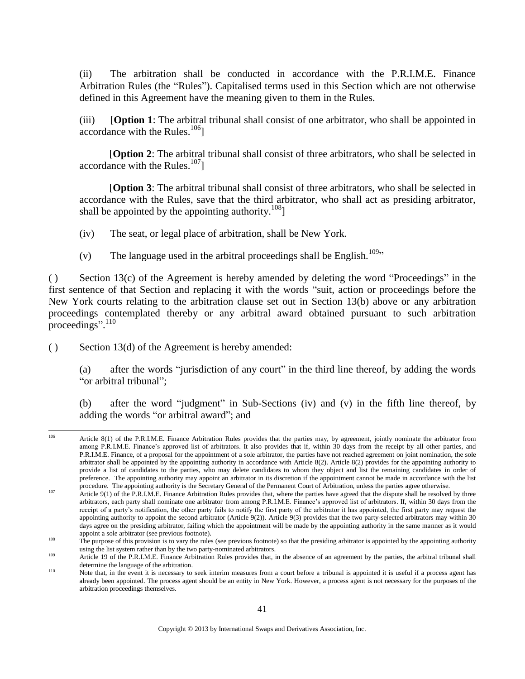(ii) The arbitration shall be conducted in accordance with the P.R.I.M.E. Finance Arbitration Rules (the "Rules"). Capitalised terms used in this Section which are not otherwise defined in this Agreement have the meaning given to them in the Rules.

(iii) [**Option 1**: The arbitral tribunal shall consist of one arbitrator, who shall be appointed in accordance with the Rules.<sup>106</sup>]

[**Option 2**: The arbitral tribunal shall consist of three arbitrators, who shall be selected in accordance with the Rules.<sup>107</sup>]

[**Option 3**: The arbitral tribunal shall consist of three arbitrators, who shall be selected in accordance with the Rules, save that the third arbitrator, who shall act as presiding arbitrator, shall be appointed by the appointing authority.<sup>108</sup>]

- (iv) The seat, or legal place of arbitration, shall be New York.
- (v) The language used in the arbitral proceedings shall be English.<sup>109</sup>"

( ) Section 13(c) of the Agreement is hereby amended by deleting the word "Proceedings" in the first sentence of that Section and replacing it with the words "suit, action or proceedings before the New York courts relating to the arbitration clause set out in Section 13(b) above or any arbitration proceedings contemplated thereby or any arbitral award obtained pursuant to such arbitration proceedings".<sup>110</sup>

( ) Section 13(d) of the Agreement is hereby amended:

(a) after the words "jurisdiction of any court" in the third line thereof, by adding the words "or arbitral tribunal";

(b) after the word "judgment" in Sub-Sections (iv) and (v) in the fifth line thereof, by adding the words "or arbitral award"; and

<sup>106</sup> Article 8(1) of the P.R.I.M.E. Finance Arbitration Rules provides that the parties may, by agreement, jointly nominate the arbitrator from among P.R.I.M.E. Finance's approved list of arbitrators. It also provides that if, within 30 days from the receipt by all other parties, and P.R.I.M.E. Finance, of a proposal for the appointment of a sole arbitrator, the parties have not reached agreement on joint nomination, the sole arbitrator shall be appointed by the appointing authority in accordance with Article 8(2). Article 8(2) provides for the appointing authority to provide a list of candidates to the parties, who may delete candidates to whom they object and list the remaining candidates in order of preference. The appointing authority may appoint an arbitrator in its discretion if the appointment cannot be made in accordance with the list procedure. The appointing authority is the Secretary General of the Permanent Court of Arbitration, unless the parties agree otherwise.

<sup>107</sup> Article 9(1) of the P.R.I.M.E. Finance Arbitration Rules provides that, where the parties have agreed that the dispute shall be resolved by three arbitrators, each party shall nominate one arbitrator from among P.R.I.M.E. Finance's approved list of arbitrators. If, within 30 days from the receipt of a party's notification, the other party fails to notify the first party of the arbitrator it has appointed, the first party may request the appointing authority to appoint the second arbitrator (Article 9(2)). Article 9(3) provides that the two party-selected arbitrators may within 30 days agree on the presiding arbitrator, failing which the appointment will be made by the appointing authority in the same manner as it would appoint a sole arbitrator (see previous footnote).

 $\frac{108}{108}$  The purpose of this provision is to vary the rules (see previous footnote) so that the presiding arbitrator is appointed by the appointing authority using the list system rather than by the two party-nominated arbitrators.

<sup>109</sup> Article 19 of the P.R.I.M.E. Finance Arbitration Rules provides that, in the absence of an agreement by the parties, the arbitral tribunal shall determine the language of the arbitration.

<sup>110</sup> Note that, in the event it is necessary to seek interim measures from a court before a tribunal is appointed it is useful if a process agent has already been appointed. The process agent should be an entity in New York. However, a process agent is not necessary for the purposes of the arbitration proceedings themselves.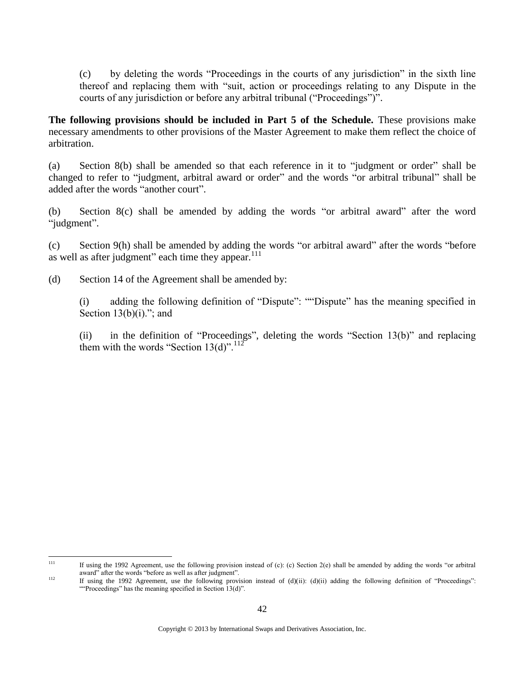(c) by deleting the words "Proceedings in the courts of any jurisdiction" in the sixth line thereof and replacing them with "suit, action or proceedings relating to any Dispute in the courts of any jurisdiction or before any arbitral tribunal ("Proceedings")".

**The following provisions should be included in Part 5 of the Schedule.** These provisions make necessary amendments to other provisions of the Master Agreement to make them reflect the choice of arbitration.

(a) Section 8(b) shall be amended so that each reference in it to "judgment or order" shall be changed to refer to "judgment, arbitral award or order" and the words "or arbitral tribunal" shall be added after the words "another court".

(b) Section 8(c) shall be amended by adding the words "or arbitral award" after the word "judgment".

(c) Section 9(h) shall be amended by adding the words "or arbitral award" after the words "before as well as after judgment" each time they appear. $111$ 

(d) Section 14 of the Agreement shall be amended by:

(i) adding the following definition of "Dispute": ""Dispute" has the meaning specified in Section  $13(b)(i)$ ."; and

(ii) in the definition of "Proceedings", deleting the words "Section 13(b)" and replacing them with the words "Section  $13(d)$ ".<sup>112</sup>

 $111\,$ If using the 1992 Agreement, use the following provision instead of (c): (c) Section  $2(e)$  shall be amended by adding the words "or arbitral award" after the words "before as well as after judgment".

<sup>112</sup> If using the 1992 Agreement, use the following provision instead of  $(d)(ii)$ :  $(d)(ii)$  adding the following definition of "Proceedings": ""Proceedings" has the meaning specified in Section 13(d)".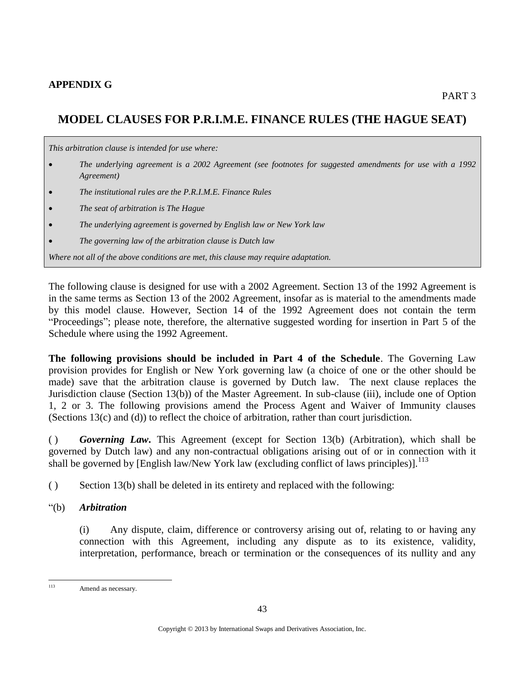## **APPENDIX G**

## **MODEL CLAUSES FOR P.R.I.M.E. FINANCE RULES (THE HAGUE SEAT)**

*This arbitration clause is intended for use where:*

- *The underlying agreement is a 2002 Agreement (see footnotes for suggested amendments for use with a 1992 Agreement)*
- *The institutional rules are the P.R.I.M.E. Finance Rules*
- *The seat of arbitration is The Hague*
- *The underlying agreement is governed by English law or New York law*
- *The governing law of the arbitration clause is Dutch law*

*Where not all of the above conditions are met, this clause may require adaptation.*

The following clause is designed for use with a 2002 Agreement. Section 13 of the 1992 Agreement is in the same terms as Section 13 of the 2002 Agreement, insofar as is material to the amendments made by this model clause. However, Section 14 of the 1992 Agreement does not contain the term "Proceedings"; please note, therefore, the alternative suggested wording for insertion in Part 5 of the Schedule where using the 1992 Agreement.

**The following provisions should be included in Part 4 of the Schedule**. The Governing Law provision provides for English or New York governing law (a choice of one or the other should be made) save that the arbitration clause is governed by Dutch law. The next clause replaces the Jurisdiction clause (Section 13(b)) of the Master Agreement. In sub-clause (iii), include one of Option 1, 2 or 3. The following provisions amend the Process Agent and Waiver of Immunity clauses (Sections 13(c) and (d)) to reflect the choice of arbitration, rather than court jurisdiction.

( ) *Governing Law***.** This Agreement (except for Section 13(b) (Arbitration), which shall be governed by Dutch law) and any non-contractual obligations arising out of or in connection with it shall be governed by [English law/New York law (excluding conflict of laws principles)].<sup>113</sup>

( ) Section 13(b) shall be deleted in its entirety and replaced with the following:

## "(b) *Arbitration*

(i) Any dispute, claim, difference or controversy arising out of, relating to or having any connection with this Agreement, including any dispute as to its existence, validity, interpretation, performance, breach or termination or the consequences of its nullity and any

 $113$ Amend as necessary.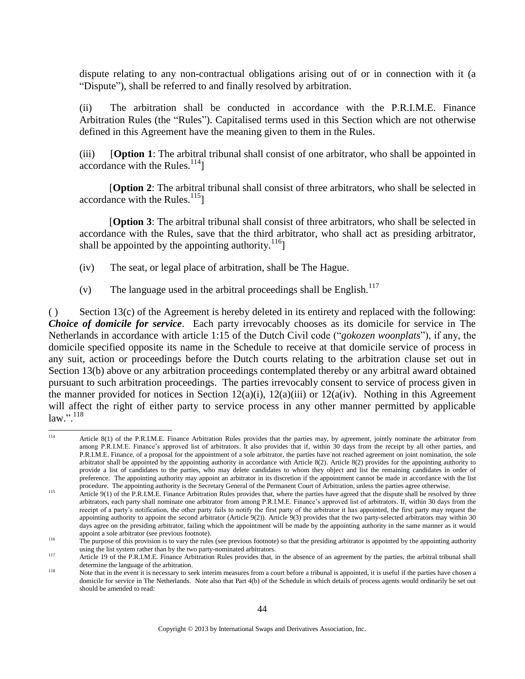dispute relating to any non-contractual obligations arising out of or in connection with it (a "Dispute"), shall be referred to and finally resolved by arbitration.

(ii) The arbitration shall be conducted in accordance with the P.R.I.M.E. Finance Arbitration Rules (the "Rules"). Capitalised terms used in this Section which are not otherwise defined in this Agreement have the meaning given to them in the Rules.

(iii) [**Option 1**: The arbitral tribunal shall consist of one arbitrator, who shall be appointed in accordance with the Rules.<sup>114</sup>]

[**Option 2**: The arbitral tribunal shall consist of three arbitrators, who shall be selected in accordance with the Rules.<sup>115</sup>]

[**Option 3**: The arbitral tribunal shall consist of three arbitrators, who shall be selected in accordance with the Rules, save that the third arbitrator, who shall act as presiding arbitrator, shall be appointed by the appointing authority.  $\frac{116}{1}$ 

- (iv) The seat, or legal place of arbitration, shall be The Hague.
- (v) The language used in the arbitral proceedings shall be English.<sup>117</sup>

( ) Section 13(c) of the Agreement is hereby deleted in its entirety and replaced with the following: *Choice of domicile for service*. Each party irrevocably chooses as its domicile for service in The Netherlands in accordance with article 1:15 of the Dutch Civil code ("*gokozen woonplats*"), if any, the domicile specified opposite its name in the Schedule to receive at that domicile service of process in any suit, action or proceedings before the Dutch courts relating to the arbitration clause set out in Section 13(b) above or any arbitration proceedings contemplated thereby or any arbitral award obtained pursuant to such arbitration proceedings. The parties irrevocably consent to service of process given in the manner provided for notices in Section 12(a)(i), 12(a)(iii) or 12(a(iv). Nothing in this Agreement will affect the right of either party to service process in any other manner permitted by applicable law.". 118

 $114$ Article 8(1) of the P.R.I.M.E. Finance Arbitration Rules provides that the parties may, by agreement, jointly nominate the arbitrator from among P.R.I.M.E. Finance's approved list of arbitrators. It also provides that if, within 30 days from the receipt by all other parties, and P.R.I.M.E. Finance, of a proposal for the appointment of a sole arbitrator, the parties have not reached agreement on joint nomination, the sole arbitrator shall be appointed by the appointing authority in accordance with Article 8(2). Article 8(2) provides for the appointing authority to provide a list of candidates to the parties, who may delete candidates to whom they object and list the remaining candidates in order of preference. The appointing authority may appoint an arbitrator in its discretion if the appointment cannot be made in accordance with the list procedure. The appointing authority is the Secretary General of the Permanent Court of Arbitration, unless the parties agree otherwise.

<sup>&</sup>lt;sup>115</sup> Article 9(1) of the P.R.I.M.E. Finance Arbitration Rules provides that, where the parties have agreed that the dispute shall be resolved by three arbitrators, each party shall nominate one arbitrator from among P.R.I.M.E. Finance's approved list of arbitrators. If, within 30 days from the receipt of a party's notification, the other party fails to notify the first party of the arbitrator it has appointed, the first party may request the appointing authority to appoint the second arbitrator (Article 9(2)). Article 9(3) provides that the two party-selected arbitrators may within 30 days agree on the presiding arbitrator, failing which the appointment will be made by the appointing authority in the same manner as it would appoint a sole arbitrator (see previous footnote).

 $\frac{116}{116}$  The purpose of this provision is to vary the rules (see previous footnote) so that the presiding arbitrator is appointed by the appointing authority using the list system rather than by the two party-nominated arbitrators.

<sup>117</sup> Article 19 of the P.R.I.M.E. Finance Arbitration Rules provides that, in the absence of an agreement by the parties, the arbitral tribunal shall determine the language of the arbitration.

<sup>118</sup> Note that in the event it is necessary to seek interim measures from a court before a tribunal is appointed, it is useful if the parties have chosen a domicile for service in The Netherlands. Note also that Part 4(b) of the Schedule in which details of process agents would ordinarily be set out should be amended to read: